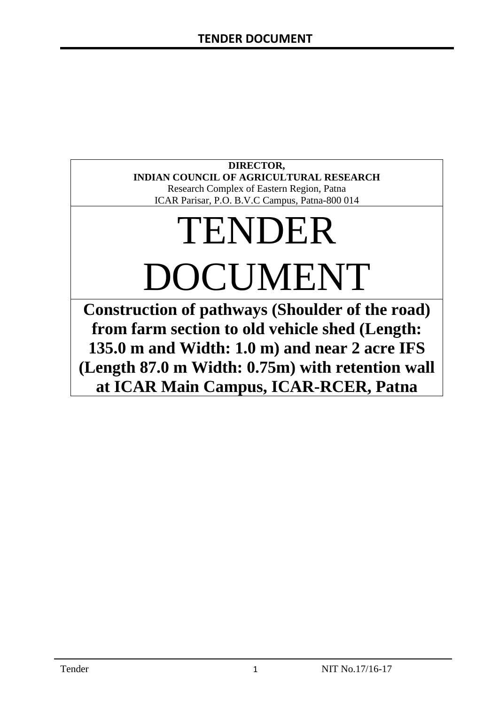# **DIRECTOR, INDIAN COUNCIL OF AGRICULTURAL RESEARCH**

Research Complex of Eastern Region, Patna ICAR Parisar, P.O. B.V.C Campus, Patna-800 014

# TENDER DOCUMENT

**Construction of pathways (Shoulder of the road) from farm section to old vehicle shed (Length: 135.0 m and Width: 1.0 m) and near 2 acre IFS (Length 87.0 m Width: 0.75m) with retention wall at ICAR Main Campus, ICAR-RCER, Patna**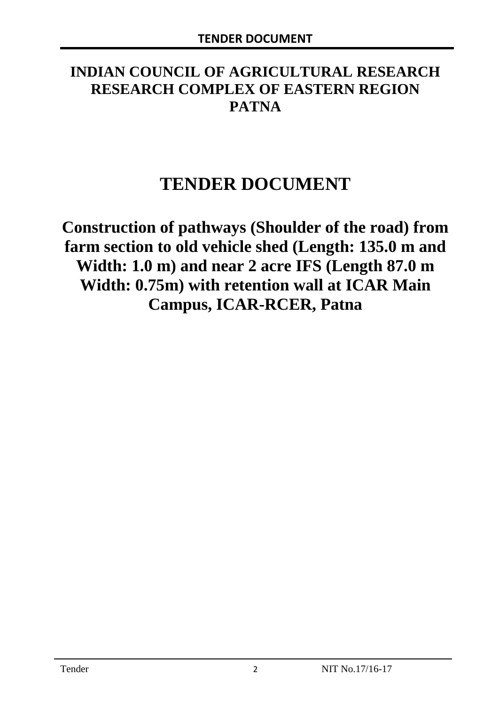# **INDIAN COUNCIL OF AGRICULTURAL RESEARCH RESEARCH COMPLEX OF EASTERN REGION PATNA**

# **TENDER DOCUMENT**

**Construction of pathways (Shoulder of the road) from farm section to old vehicle shed (Length: 135.0 m and Width: 1.0 m) and near 2 acre IFS (Length 87.0 m Width: 0.75m) with retention wall at ICAR Main Campus, ICAR-RCER, Patna**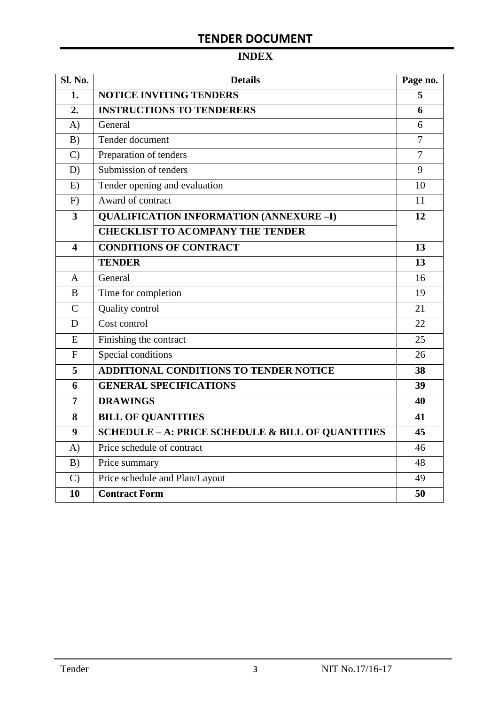# **INDEX**

| <b>Sl. No.</b> | <b>Details</b>                                    | Page no.       |  |
|----------------|---------------------------------------------------|----------------|--|
| 1.             | <b>NOTICE INVITING TENDERS</b>                    |                |  |
| 2.             | <b>INSTRUCTIONS TO TENDERERS</b>                  | 6              |  |
| A)             | General                                           | 6              |  |
| B)             | Tender document                                   | $\overline{7}$ |  |
| $\mathcal{C}$  | Preparation of tenders                            | $\overline{7}$ |  |
| D)             | Submission of tenders                             | 9              |  |
| E)             | Tender opening and evaluation                     | 10             |  |
| F)             | Award of contract                                 | 11             |  |
| 3              | <b>QUALIFICATION INFORMATION (ANNEXURE-I)</b>     | 12             |  |
|                | <b>CHECKLIST TO ACOMPANY THE TENDER</b>           |                |  |
| 4              | <b>CONDITIONS OF CONTRACT</b>                     | 13             |  |
|                | <b>TENDER</b>                                     | 13             |  |
| A              | General                                           | 16             |  |
| B              | Time for completion                               | 19             |  |
| $\overline{C}$ | Quality control                                   | 21             |  |
| D              | Cost control                                      | 22             |  |
| E              | Finishing the contract                            | 25             |  |
| $\overline{F}$ | Special conditions                                | 26             |  |
| 5              | ADDITIONAL CONDITIONS TO TENDER NOTICE            | 38             |  |
| 6              | <b>GENERAL SPECIFICATIONS</b>                     | 39             |  |
| $\overline{7}$ | <b>DRAWINGS</b>                                   | 40             |  |
| 8              | <b>BILL OF QUANTITIES</b>                         | 41             |  |
| 9              | SCHEDULE - A: PRICE SCHEDULE & BILL OF QUANTITIES | 45             |  |
| A)             | Price schedule of contract                        | 46             |  |
| B)             | Price summary                                     | 48             |  |
| $\mathcal{C}$  | Price schedule and Plan/Layout                    | 49             |  |
| 10             | <b>Contract Form</b>                              | 50             |  |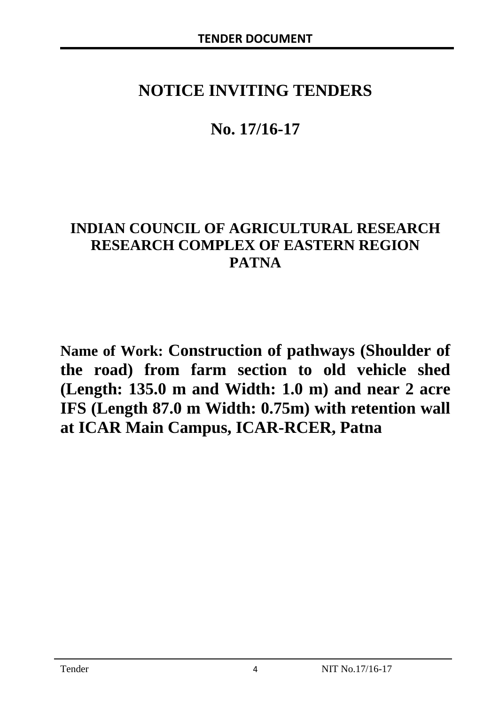# **NOTICE INVITING TENDERS**

# **No. 17/16-17**

# **INDIAN COUNCIL OF AGRICULTURAL RESEARCH RESEARCH COMPLEX OF EASTERN REGION PATNA**

**Name of Work: Construction of pathways (Shoulder of the road) from farm section to old vehicle shed (Length: 135.0 m and Width: 1.0 m) and near 2 acre IFS (Length 87.0 m Width: 0.75m) with retention wall at ICAR Main Campus, ICAR-RCER, Patna**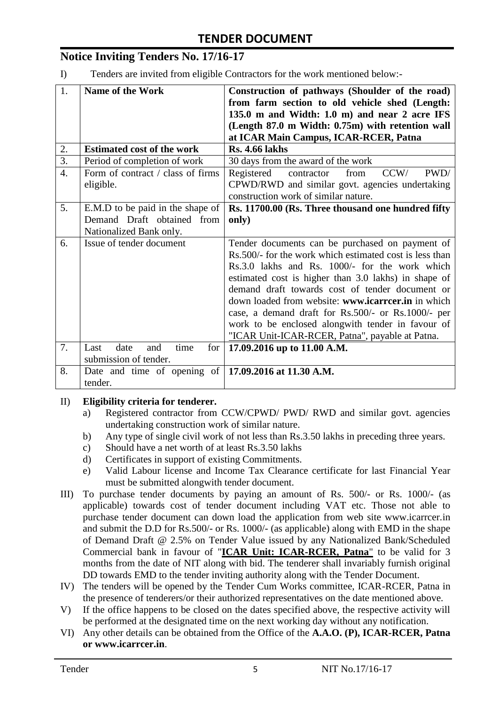# **Notice Inviting Tenders No. 17/16-17**

I) Tenders are invited from eligible Contractors for the work mentioned below:-

| 1.               | <b>Name of the Work</b>            | Construction of pathways (Shoulder of the road)          |
|------------------|------------------------------------|----------------------------------------------------------|
|                  |                                    | from farm section to old vehicle shed (Length:           |
|                  |                                    | 135.0 m and Width: 1.0 m) and near 2 acre IFS            |
|                  |                                    | (Length 87.0 m Width: 0.75m) with retention wall         |
|                  |                                    | at ICAR Main Campus, ICAR-RCER, Patna                    |
| 2.               | <b>Estimated cost of the work</b>  | <b>Rs. 4.66 lakhs</b>                                    |
| $\overline{3}$ . | Period of completion of work       | 30 days from the award of the work                       |
| $\overline{4}$ . | Form of contract / class of firms  | CCW/<br>PWD/<br>from<br>Registered<br>contractor         |
|                  | eligible.                          | CPWD/RWD and similar govt. agencies undertaking          |
|                  |                                    | construction work of similar nature.                     |
| 5.               | E.M.D to be paid in the shape of   | Rs. 11700.00 (Rs. Three thousand one hundred fifty       |
|                  | Demand Draft obtained from         | only)                                                    |
|                  | Nationalized Bank only.            |                                                          |
| 6.               | Issue of tender document           | Tender documents can be purchased on payment of          |
|                  |                                    | Rs. 500/- for the work which estimated cost is less than |
|                  |                                    | Rs.3.0 lakhs and Rs. 1000/- for the work which           |
|                  |                                    | estimated cost is higher than 3.0 lakhs) in shape of     |
|                  |                                    | demand draft towards cost of tender document or          |
|                  |                                    | down loaded from website: www.icarreer.in in which       |
|                  |                                    | case, a demand draft for Rs.500/- or Rs.1000/- per       |
|                  |                                    | work to be enclosed alongwith tender in favour of        |
|                  |                                    | "ICAR Unit-ICAR-RCER, Patna", payable at Patna.          |
| 7.               | date<br>time<br>for<br>Last<br>and | 17.09.2016 up to 11.00 A.M.                              |
|                  | submission of tender.              |                                                          |
| 8.               | Date and time of opening of        | 17.09.2016 at 11.30 A.M.                                 |
|                  | tender.                            |                                                          |

#### II) **Eligibility criteria for tenderer.**

- a) Registered contractor from CCW/CPWD/ PWD/ RWD and similar govt. agencies undertaking construction work of similar nature.
- b) Any type of single civil work of not less than Rs.3.50 lakhs in preceding three years.
- c) Should have a net worth of at least Rs.3.50 lakhs
- d) Certificates in support of existing Commitments.
- e) Valid Labour license and Income Tax Clearance certificate for last Financial Year must be submitted alongwith tender document.
- III) To purchase tender documents by paying an amount of Rs. 500/- or Rs. 1000/- (as applicable) towards cost of tender document including VAT etc. Those not able to purchase tender document can down load the application from web site www.icarrcer.in and submit the D.D for Rs.500/- or Rs. 1000/- (as applicable) along with EMD in the shape of Demand Draft @ 2.5% on Tender Value issued by any Nationalized Bank/Scheduled Commercial bank in favour of "**ICAR Unit: ICAR-RCER, Patna**" to be valid for 3 months from the date of NIT along with bid. The tenderer shall invariably furnish original DD towards EMD to the tender inviting authority along with the Tender Document.
- IV) The tenders will be opened by the Tender Cum Works committee, ICAR-RCER, Patna in the presence of tenderers/or their authorized representatives on the date mentioned above.
- V) If the office happens to be closed on the dates specified above, the respective activity will be performed at the designated time on the next working day without any notification.
- VI) Any other details can be obtained from the Office of the **A.A.O. (P), ICAR-RCER, Patna or www.icarrcer.in**.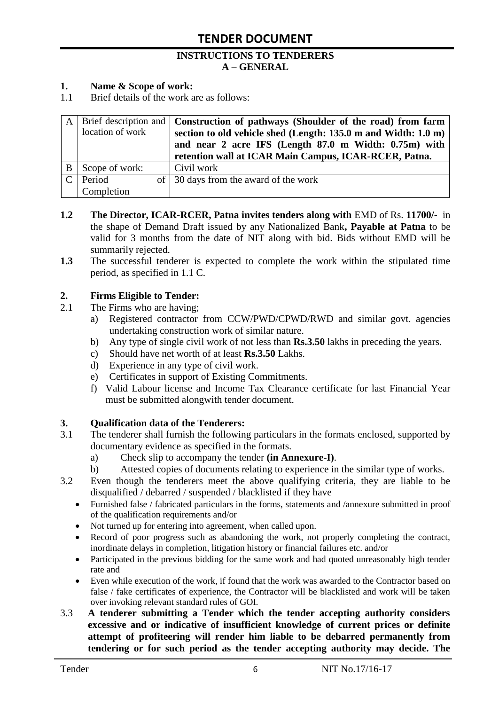#### **INSTRUCTIONS TO TENDERERS A – GENERAL**

#### **1. Name & Scope of work:**

1.1 Brief details of the work are as follows:

|   | location of work | A   Brief description and   Construction of pathways (Shoulder of the road) from farm<br>section to old vehicle shed (Length: 135.0 m and Width: 1.0 m)<br>and near 2 acre IFS (Length 87.0 m Width: 0.75m) with<br>retention wall at ICAR Main Campus, ICAR-RCER, Patna. |
|---|------------------|---------------------------------------------------------------------------------------------------------------------------------------------------------------------------------------------------------------------------------------------------------------------------|
| B | Scope of work:   | Civil work                                                                                                                                                                                                                                                                |
|   | Period           | of 30 days from the award of the work                                                                                                                                                                                                                                     |
|   | Completion       |                                                                                                                                                                                                                                                                           |

- **1.2 The Director, ICAR-RCER, Patna invites tenders along with** EMD of Rs. **11700/-** in the shape of Demand Draft issued by any Nationalized Bank**, Payable at Patna** to be valid for 3 months from the date of NIT along with bid. Bids without EMD will be summarily rejected.
- **1.3** The successful tenderer is expected to complete the work within the stipulated time period, as specified in 1.1 C.

#### **2. Firms Eligible to Tender:**

- 2.1 The Firms who are having;
	- a) Registered contractor from CCW/PWD/CPWD/RWD and similar govt. agencies undertaking construction work of similar nature.
	- b) Any type of single civil work of not less than **Rs.3.50** lakhs in preceding the years.
	- c) Should have net worth of at least **Rs.3.50** Lakhs.
	- d) Experience in any type of civil work.
	- e) Certificates in support of Existing Commitments.
	- f) Valid Labour license and Income Tax Clearance certificate for last Financial Year must be submitted alongwith tender document.

#### **3. Qualification data of the Tenderers:**

- 3.1 The tenderer shall furnish the following particulars in the formats enclosed, supported by documentary evidence as specified in the formats.
	- a) Check slip to accompany the tender **(in Annexure-I)**.
	- b) Attested copies of documents relating to experience in the similar type of works.
- 3.2 Even though the tenderers meet the above qualifying criteria, they are liable to be disqualified / debarred / suspended / blacklisted if they have
	- Furnished false / fabricated particulars in the forms, statements and /annexure submitted in proof of the qualification requirements and/or
	- Not turned up for entering into agreement, when called upon.
	- Record of poor progress such as abandoning the work, not properly completing the contract, inordinate delays in completion, litigation history or financial failures etc. and/or
	- Participated in the previous bidding for the same work and had quoted unreasonably high tender rate and
	- Even while execution of the work, if found that the work was awarded to the Contractor based on false / fake certificates of experience, the Contractor will be blacklisted and work will be taken over invoking relevant standard rules of GOI.
- 3.3 **A tenderer submitting a Tender which the tender accepting authority considers excessive and or indicative of insufficient knowledge of current prices or definite attempt of profiteering will render him liable to be debarred permanently from tendering or for such period as the tender accepting authority may decide. The**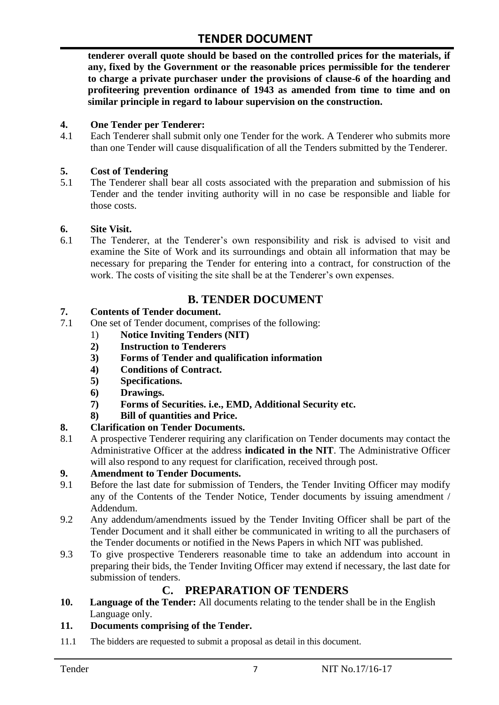**tenderer overall quote should be based on the controlled prices for the materials, if any, fixed by the Government or the reasonable prices permissible for the tenderer to charge a private purchaser under the provisions of clause-6 of the hoarding and profiteering prevention ordinance of 1943 as amended from time to time and on similar principle in regard to labour supervision on the construction.**

#### **4. One Tender per Tenderer:**

4.1 Each Tenderer shall submit only one Tender for the work. A Tenderer who submits more than one Tender will cause disqualification of all the Tenders submitted by the Tenderer.

#### **5. Cost of Tendering**

5.1 The Tenderer shall bear all costs associated with the preparation and submission of his Tender and the tender inviting authority will in no case be responsible and liable for those costs.

#### **6. Site Visit.**

6.1 The Tenderer, at the Tenderer"s own responsibility and risk is advised to visit and examine the Site of Work and its surroundings and obtain all information that may be necessary for preparing the Tender for entering into a contract, for construction of the work. The costs of visiting the site shall be at the Tenderer's own expenses.

### **B. TENDER DOCUMENT**

#### **7. Contents of Tender document.**

- 7.1 One set of Tender document, comprises of the following:
	- 1) **Notice Inviting Tenders (NIT)**
	- **2) Instruction to Tenderers**
	- **3) Forms of Tender and qualification information**
	- **4) Conditions of Contract.**
	- **5) Specifications.**
	- **6) Drawings.**
	- **7) Forms of Securities. i.e., EMD, Additional Security etc.**
	- **8) Bill of quantities and Price.**

#### **8. Clarification on Tender Documents.**

8.1 A prospective Tenderer requiring any clarification on Tender documents may contact the Administrative Officer at the address **indicated in the NIT**. The Administrative Officer will also respond to any request for clarification, received through post.

#### **9. Amendment to Tender Documents.**

- 9.1 Before the last date for submission of Tenders, the Tender Inviting Officer may modify any of the Contents of the Tender Notice, Tender documents by issuing amendment / Addendum.
- 9.2 Any addendum/amendments issued by the Tender Inviting Officer shall be part of the Tender Document and it shall either be communicated in writing to all the purchasers of the Tender documents or notified in the News Papers in which NIT was published.
- 9.3 To give prospective Tenderers reasonable time to take an addendum into account in preparing their bids, the Tender Inviting Officer may extend if necessary, the last date for submission of tenders.

## **C. PREPARATION OF TENDERS**

**10. Language of the Tender:** All documents relating to the tender shall be in the English Language only.

#### **11. Documents comprising of the Tender.**

11.1 The bidders are requested to submit a proposal as detail in this document.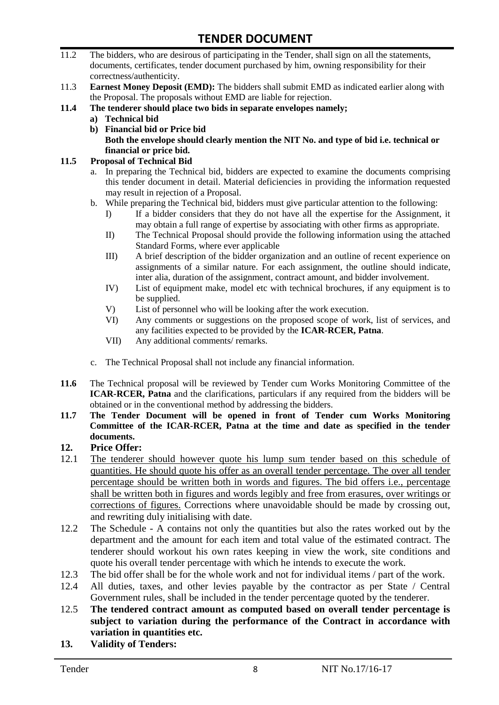- 11.2 The bidders, who are desirous of participating in the Tender, shall sign on all the statements, documents, certificates, tender document purchased by him, owning responsibility for their correctness/authenticity.
- 11.3 **Earnest Money Deposit (EMD):** The bidders shall submit EMD as indicated earlier along with the Proposal. The proposals without EMD are liable for rejection.
- **11.4 The tenderer should place two bids in separate envelopes namely;**
	- **a) Technical bid**
	- **b) Financial bid or Price bid Both the envelope should clearly mention the NIT No. and type of bid i.e. technical or financial or price bid.**

#### **11.5 Proposal of Technical Bid**

- a. In preparing the Technical bid, bidders are expected to examine the documents comprising this tender document in detail. Material deficiencies in providing the information requested may result in rejection of a Proposal.
- b. While preparing the Technical bid, bidders must give particular attention to the following:
	- I) If a bidder considers that they do not have all the expertise for the Assignment, it may obtain a full range of expertise by associating with other firms as appropriate.
	- II) The Technical Proposal should provide the following information using the attached Standard Forms, where ever applicable
	- III) A brief description of the bidder organization and an outline of recent experience on assignments of a similar nature. For each assignment, the outline should indicate, inter alia, duration of the assignment, contract amount, and bidder involvement.
	- IV) List of equipment make, model etc with technical brochures, if any equipment is to be supplied.
	- V) List of personnel who will be looking after the work execution.
	- VI) Any comments or suggestions on the proposed scope of work, list of services, and any facilities expected to be provided by the **ICAR-RCER, Patna**.
	- VII) Any additional comments/ remarks.
- c. The Technical Proposal shall not include any financial information.
- **11.6** The Technical proposal will be reviewed by Tender cum Works Monitoring Committee of the **ICAR-RCER, Patna** and the clarifications, particulars if any required from the bidders will be obtained or in the conventional method by addressing the bidders.
- **11.7 The Tender Document will be opened in front of Tender cum Works Monitoring Committee of the ICAR-RCER, Patna at the time and date as specified in the tender documents.**

#### **12. Price Offer:**

- 12.1 The tenderer should however quote his lump sum tender based on this schedule of quantities. He should quote his offer as an overall tender percentage. The over all tender percentage should be written both in words and figures. The bid offers i.e., percentage shall be written both in figures and words legibly and free from erasures, over writings or corrections of figures. Corrections where unavoidable should be made by crossing out, and rewriting duly initialising with date.
- 12.2 The Schedule A contains not only the quantities but also the rates worked out by the department and the amount for each item and total value of the estimated contract. The tenderer should workout his own rates keeping in view the work, site conditions and quote his overall tender percentage with which he intends to execute the work.
- 12.3 The bid offer shall be for the whole work and not for individual items / part of the work.
- 12.4 All duties, taxes, and other levies payable by the contractor as per State / Central Government rules, shall be included in the tender percentage quoted by the tenderer.
- 12.5 **The tendered contract amount as computed based on overall tender percentage is subject to variation during the performance of the Contract in accordance with variation in quantities etc.**
- **13. Validity of Tenders:**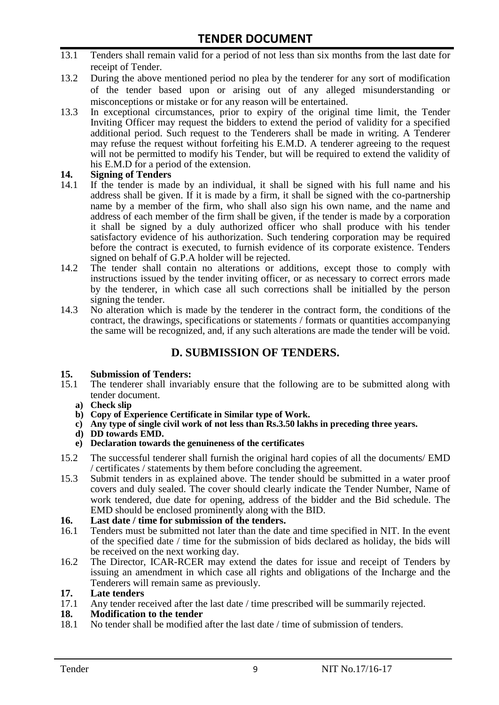- 13.1 Tenders shall remain valid for a period of not less than six months from the last date for receipt of Tender.
- 13.2 During the above mentioned period no plea by the tenderer for any sort of modification of the tender based upon or arising out of any alleged misunderstanding or misconceptions or mistake or for any reason will be entertained.
- 13.3 In exceptional circumstances, prior to expiry of the original time limit, the Tender Inviting Officer may request the bidders to extend the period of validity for a specified additional period. Such request to the Tenderers shall be made in writing. A Tenderer may refuse the request without forfeiting his E.M.D. A tenderer agreeing to the request will not be permitted to modify his Tender, but will be required to extend the validity of his E.M.D for a period of the extension.

# **14.** Signing of Tenders<br>14.1 If the tender is made

- If the tender is made by an individual, it shall be signed with his full name and his address shall be given. If it is made by a firm, it shall be signed with the co-partnership name by a member of the firm, who shall also sign his own name, and the name and address of each member of the firm shall be given, if the tender is made by a corporation it shall be signed by a duly authorized officer who shall produce with his tender satisfactory evidence of his authorization. Such tendering corporation may be required before the contract is executed, to furnish evidence of its corporate existence. Tenders signed on behalf of G.P.A holder will be rejected.
- 14.2 The tender shall contain no alterations or additions, except those to comply with instructions issued by the tender inviting officer, or as necessary to correct errors made by the tenderer, in which case all such corrections shall be initialled by the person signing the tender.
- 14.3 No alteration which is made by the tenderer in the contract form, the conditions of the contract, the drawings, specifications or statements / formats or quantities accompanying the same will be recognized, and, if any such alterations are made the tender will be void.

## **D. SUBMISSION OF TENDERS.**

#### **15. Submission of Tenders:**

- 15.1 The tenderer shall invariably ensure that the following are to be submitted along with tender document.
	- **a) Check slip**
	- **b) Copy of Experience Certificate in Similar type of Work.**
	- **c) Any type of single civil work of not less than Rs.3.50 lakhs in preceding three years.**
	- **d) DD towards EMD.**
	- **e) Declaration towards the genuineness of the certificates**
- 15.2 The successful tenderer shall furnish the original hard copies of all the documents/ EMD / certificates / statements by them before concluding the agreement.
- 15.3 Submit tenders in as explained above. The tender should be submitted in a water proof covers and duly sealed. The cover should clearly indicate the Tender Number, Name of work tendered, due date for opening, address of the bidder and the Bid schedule. The EMD should be enclosed prominently along with the BID.
- **16. Last date / time for submission of the tenders.**
- 16.1 Tenders must be submitted not later than the date and time specified in NIT. In the event of the specified date / time for the submission of bids declared as holiday, the bids will be received on the next working day.
- 16.2 The Director, ICAR-RCER may extend the dates for issue and receipt of Tenders by issuing an amendment in which case all rights and obligations of the Incharge and the Tenderers will remain same as previously.

#### **17. Late tenders**

17.1 Any tender received after the last date / time prescribed will be summarily rejected.

#### **18. Modification to the tender**

18.1 No tender shall be modified after the last date / time of submission of tenders.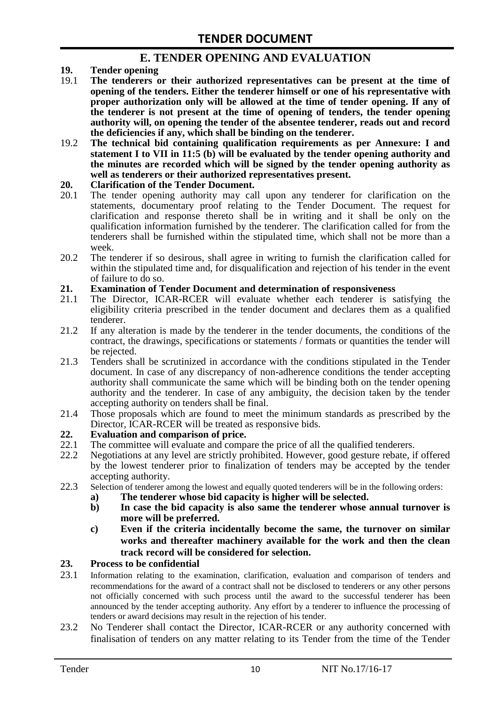## **E. TENDER OPENING AND EVALUATION**

- **19. Tender opening**
- 19.1 **The tenderers or their authorized representatives can be present at the time of opening of the tenders. Either the tenderer himself or one of his representative with proper authorization only will be allowed at the time of tender opening. If any of the tenderer is not present at the time of opening of tenders, the tender opening authority will, on opening the tender of the absentee tenderer, reads out and record the deficiencies if any, which shall be binding on the tenderer.**
- 19.2 **The technical bid containing qualification requirements as per Annexure: I and statement I to VII in 11:5 (b) will be evaluated by the tender opening authority and the minutes are recorded which will be signed by the tender opening authority as well as tenderers or their authorized representatives present.**

#### **20. Clarification of the Tender Document.**

- 20.1 The tender opening authority may call upon any tenderer for clarification on the statements, documentary proof relating to the Tender Document. The request for clarification and response thereto shall be in writing and it shall be only on the qualification information furnished by the tenderer. The clarification called for from the tenderers shall be furnished within the stipulated time, which shall not be more than a week.
- 20.2 The tenderer if so desirous, shall agree in writing to furnish the clarification called for within the stipulated time and, for disqualification and rejection of his tender in the event of failure to do so.

# **21. Examination of Tender Document and determination of responsiveness**

- 21.1 The Director, ICAR-RCER will evaluate whether each tenderer is satisfying the eligibility criteria prescribed in the tender document and declares them as a qualified tenderer.
- 21.2 If any alteration is made by the tenderer in the tender documents, the conditions of the contract, the drawings, specifications or statements / formats or quantities the tender will be rejected.
- 21.3 Tenders shall be scrutinized in accordance with the conditions stipulated in the Tender document. In case of any discrepancy of non-adherence conditions the tender accepting authority shall communicate the same which will be binding both on the tender opening authority and the tenderer. In case of any ambiguity, the decision taken by the tender accepting authority on tenders shall be final.
- 21.4 Those proposals which are found to meet the minimum standards as prescribed by the Director, ICAR-RCER will be treated as responsive bids.

# **22. Evaluation and comparison of price.**

- The committee will evaluate and compare the price of all the qualified tenderers.
- 22.2 Negotiations at any level are strictly prohibited. However, good gesture rebate, if offered by the lowest tenderer prior to finalization of tenders may be accepted by the tender accepting authority.
- 22.3 Selection of tenderer among the lowest and equally quoted tenderers will be in the following orders:
	- **a) The tenderer whose bid capacity is higher will be selected.**
	- **b) In case the bid capacity is also same the tenderer whose annual turnover is more will be preferred.**
	- **c) Even if the criteria incidentally become the same, the turnover on similar works and thereafter machinery available for the work and then the clean track record will be considered for selection.**

#### **23. Process to be confidential**

- 23.1 Information relating to the examination, clarification, evaluation and comparison of tenders and recommendations for the award of a contract shall not be disclosed to tenderers or any other persons not officially concerned with such process until the award to the successful tenderer has been announced by the tender accepting authority. Any effort by a tenderer to influence the processing of tenders or award decisions may result in the rejection of his tender.
- 23.2 No Tenderer shall contact the Director, ICAR-RCER or any authority concerned with finalisation of tenders on any matter relating to its Tender from the time of the Tender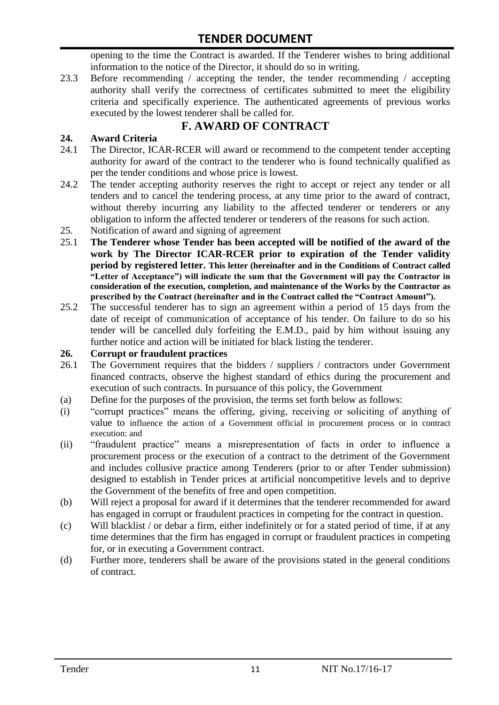opening to the time the Contract is awarded. If the Tenderer wishes to bring additional information to the notice of the Director, it should do so in writing.

23.3 Before recommending / accepting the tender, the tender recommending / accepting authority shall verify the correctness of certificates submitted to meet the eligibility criteria and specifically experience. The authenticated agreements of previous works executed by the lowest tenderer shall be called for.

# **F. AWARD OF CONTRACT**

#### **24. Award Criteria**

- 24.1 The Director, ICAR-RCER will award or recommend to the competent tender accepting authority for award of the contract to the tenderer who is found technically qualified as per the tender conditions and whose price is lowest.
- 24.2 The tender accepting authority reserves the right to accept or reject any tender or all tenders and to cancel the tendering process, at any time prior to the award of contract, without thereby incurring any liability to the affected tenderer or tenderers or any obligation to inform the affected tenderer or tenderers of the reasons for such action.
- 25. Notification of award and signing of agreement
- 25.1 **The Tenderer whose Tender has been accepted will be notified of the award of the work by The Director ICAR-RCER prior to expiration of the Tender validity period by registered letter. This letter (hereinafter and in the Conditions of Contract called "Letter of Acceptance") will indicate the sum that the Government will pay the Contractor in consideration of the execution, completion, and maintenance of the Works by the Contractor as prescribed by the Contract (hereinafter and in the Contract called the "Contract Amount").**
- 25.2 The successful tenderer has to sign an agreement within a period of 15 days from the date of receipt of communication of acceptance of his tender. On failure to do so his tender will be cancelled duly forfeiting the E.M.D., paid by him without issuing any further notice and action will be initiated for black listing the tenderer.

#### **26. Corrupt or fraudulent practices**

- 26.1 The Government requires that the bidders / suppliers / contractors under Government financed contracts, observe the highest standard of ethics during the procurement and execution of such contracts. In pursuance of this policy, the Government
- (a) Define for the purposes of the provision, the terms set forth below as follows:
- (i) "corrupt practices" means the offering, giving, receiving or soliciting of anything of value to influence the action of a Government official in procurement process or in contract execution: and
- (ii) "fraudulent practice" means a misrepresentation of facts in order to influence a procurement process or the execution of a contract to the detriment of the Government and includes collusive practice among Tenderers (prior to or after Tender submission) designed to establish in Tender prices at artificial noncompetitive levels and to deprive the Government of the benefits of free and open competition.
- (b) Will reject a proposal for award if it determines that the tenderer recommended for award has engaged in corrupt or fraudulent practices in competing for the contract in question.
- (c) Will blacklist / or debar a firm, either indefinitely or for a stated period of time, if at any time determines that the firm has engaged in corrupt or fraudulent practices in competing for, or in executing a Government contract.
- (d) Further more, tenderers shall be aware of the provisions stated in the general conditions of contract.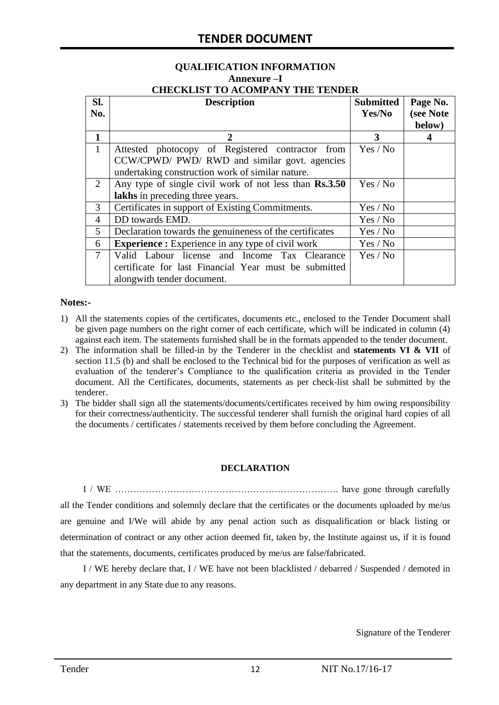# **QUALIFICATION INFORMATION Annexure –I**

|  | <b>CHECKLIST TO ACOMPANY THE TENDER</b> |  |
|--|-----------------------------------------|--|
|  |                                         |  |

| SI.<br>No.     | <b>Description</b>                                                                                                                                    | <b>Submitted</b><br>Yes/No | Page No.<br>(see Note<br>below) |  |
|----------------|-------------------------------------------------------------------------------------------------------------------------------------------------------|----------------------------|---------------------------------|--|
| 1              |                                                                                                                                                       | 3                          | 4                               |  |
| $\mathbf{1}$   | Attested photocopy of Registered contractor from<br>CCW/CPWD/ PWD/ RWD and similar govt. agencies<br>undertaking construction work of similar nature. | Yes / No                   |                                 |  |
| 2              | Any type of single civil work of not less than Rs.3.50<br>lakhs in preceding three years.                                                             | Yes / No                   |                                 |  |
| 3              | Certificates in support of Existing Commitments.                                                                                                      | Yes / No                   |                                 |  |
| $\overline{4}$ | DD towards EMD.                                                                                                                                       | Yes / No                   |                                 |  |
| 5              | Declaration towards the genuineness of the certificates<br>Yes / No                                                                                   |                            |                                 |  |
| 6              | <b>Experience :</b> Experience in any type of civil work<br>Yes / No                                                                                  |                            |                                 |  |
| $\overline{7}$ | Valid Labour license and Income Tax Clearance<br>certificate for last Financial Year must be submitted<br>alongwith tender document.                  | Yes / No                   |                                 |  |

#### **Notes:-**

- 1) All the statements copies of the certificates, documents etc., enclosed to the Tender Document shall be given page numbers on the right corner of each certificate, which will be indicated in column (4) against each item. The statements furnished shall be in the formats appended to the tender document.
- 2) The information shall be filled-in by the Tenderer in the checklist and **statements VI & VII** of section 11.5 (b) and shall be enclosed to the Technical bid for the purposes of verification as well as evaluation of the tenderer"s Compliance to the qualification criteria as provided in the Tender document. All the Certificates, documents, statements as per check-list shall be submitted by the tenderer.
- 3) The bidder shall sign all the statements/documents/certificates received by him owing responsibility for their correctness/authenticity. The successful tenderer shall furnish the original hard copies of all the documents / certificates / statements received by them before concluding the Agreement.

#### **DECLARATION**

I / WE ………………………………………………………………. have gone through carefully all the Tender conditions and solemnly declare that the certificates or the documents uploaded by me/us are genuine and I/We will abide by any penal action such as disqualification or black listing or determination of contract or any other action deemed fit, taken by, the Institute against us, if it is found that the statements, documents, certificates produced by me/us are false/fabricated.

I / WE hereby declare that, I / WE have not been blacklisted / debarred / Suspended / demoted in any department in any State due to any reasons.

Signature of the Tenderer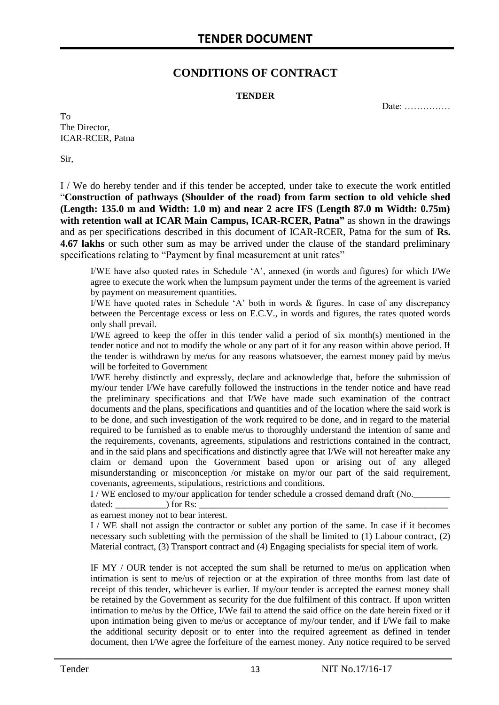## **CONDITIONS OF CONTRACT**

#### **TENDER**

Date: ……………

To The Director, ICAR-RCER, Patna

Sir,

I / We do hereby tender and if this tender be accepted, under take to execute the work entitled "**Construction of pathways (Shoulder of the road) from farm section to old vehicle shed (Length: 135.0 m and Width: 1.0 m) and near 2 acre IFS (Length 87.0 m Width: 0.75m) with retention wall at ICAR Main Campus, ICAR-RCER, Patna"** as shown in the drawings and as per specifications described in this document of ICAR-RCER, Patna for the sum of **Rs. 4.67 lakhs** or such other sum as may be arrived under the clause of the standard preliminary specifications relating to "Payment by final measurement at unit rates"

I/WE have also quoted rates in Schedule "A", annexed (in words and figures) for which I/We agree to execute the work when the lumpsum payment under the terms of the agreement is varied by payment on measurement quantities.

I/WE have quoted rates in Schedule "A" both in words & figures. In case of any discrepancy between the Percentage excess or less on E.C.V., in words and figures, the rates quoted words only shall prevail.

I/WE agreed to keep the offer in this tender valid a period of six month(s) mentioned in the tender notice and not to modify the whole or any part of it for any reason within above period. If the tender is withdrawn by me/us for any reasons whatsoever, the earnest money paid by me/us will be forfeited to Government

I/WE hereby distinctly and expressly, declare and acknowledge that, before the submission of my/our tender I/We have carefully followed the instructions in the tender notice and have read the preliminary specifications and that I/We have made such examination of the contract documents and the plans, specifications and quantities and of the location where the said work is to be done, and such investigation of the work required to be done, and in regard to the material required to be furnished as to enable me/us to thoroughly understand the intention of same and the requirements, covenants, agreements, stipulations and restrictions contained in the contract, and in the said plans and specifications and distinctly agree that I/We will not hereafter make any claim or demand upon the Government based upon or arising out of any alleged misunderstanding or misconception /or mistake on my/or our part of the said requirement, covenants, agreements, stipulations, restrictions and conditions.

I / WE enclosed to my/our application for tender schedule a crossed demand draft (No.

dated: \_\_\_\_\_\_\_\_\_\_\_) for Rs: \_\_\_\_\_\_\_\_\_\_\_\_\_\_\_\_\_\_\_\_\_\_\_\_\_\_\_\_\_\_\_\_\_\_\_\_\_\_\_\_\_\_\_\_\_\_\_\_\_\_\_\_\_\_

as earnest money not to bear interest.

I / WE shall not assign the contractor or sublet any portion of the same. In case if it becomes necessary such subletting with the permission of the shall be limited to (1) Labour contract, (2) Material contract, (3) Transport contract and (4) Engaging specialists for special item of work.

IF MY / OUR tender is not accepted the sum shall be returned to me/us on application when intimation is sent to me/us of rejection or at the expiration of three months from last date of receipt of this tender, whichever is earlier. If my/our tender is accepted the earnest money shall be retained by the Government as security for the due fulfilment of this contract. If upon written intimation to me/us by the Office, I/We fail to attend the said office on the date herein fixed or if upon intimation being given to me/us or acceptance of my/our tender, and if I/We fail to make the additional security deposit or to enter into the required agreement as defined in tender document, then I/We agree the forfeiture of the earnest money. Any notice required to be served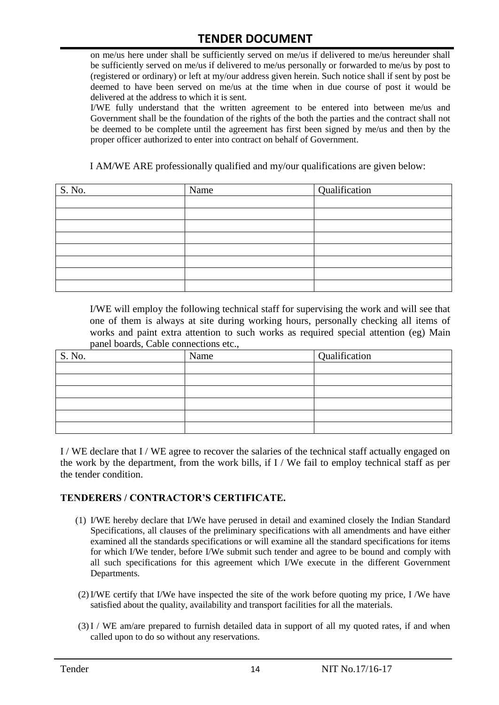on me/us here under shall be sufficiently served on me/us if delivered to me/us hereunder shall be sufficiently served on me/us if delivered to me/us personally or forwarded to me/us by post to (registered or ordinary) or left at my/our address given herein. Such notice shall if sent by post be deemed to have been served on me/us at the time when in due course of post it would be delivered at the address to which it is sent.

I/WE fully understand that the written agreement to be entered into between me/us and Government shall be the foundation of the rights of the both the parties and the contract shall not be deemed to be complete until the agreement has first been signed by me/us and then by the proper officer authorized to enter into contract on behalf of Government.

I AM/WE ARE professionally qualified and my/our qualifications are given below:

| S. No. | Name | Qualification |
|--------|------|---------------|
|        |      |               |
|        |      |               |
|        |      |               |
|        |      |               |
|        |      |               |
|        |      |               |
|        |      |               |
|        |      |               |

I/WE will employ the following technical staff for supervising the work and will see that one of them is always at site during working hours, personally checking all items of works and paint extra attention to such works as required special attention (eg) Main panel boards, Cable connections etc.,

| S. No. | Name | Qualification |
|--------|------|---------------|
|        |      |               |
|        |      |               |
|        |      |               |
|        |      |               |
|        |      |               |
|        |      |               |

I / WE declare that I / WE agree to recover the salaries of the technical staff actually engaged on the work by the department, from the work bills, if I / We fail to employ technical staff as per the tender condition.

#### **TENDERERS / CONTRACTOR'S CERTIFICATE.**

- (1) I/WE hereby declare that I/We have perused in detail and examined closely the Indian Standard Specifications, all clauses of the preliminary specifications with all amendments and have either examined all the standards specifications or will examine all the standard specifications for items for which I/We tender, before I/We submit such tender and agree to be bound and comply with all such specifications for this agreement which I/We execute in the different Government Departments.
- (2)I/WE certify that I/We have inspected the site of the work before quoting my price, I /We have satisfied about the quality, availability and transport facilities for all the materials.
- (3)I / WE am/are prepared to furnish detailed data in support of all my quoted rates, if and when called upon to do so without any reservations.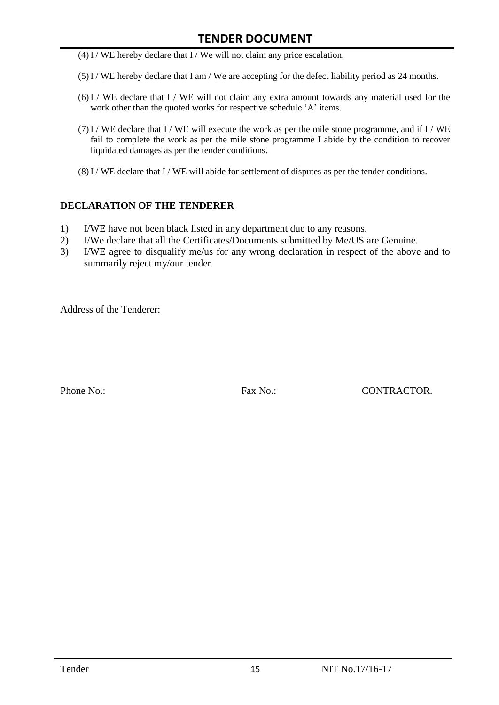- $(4)$ I / WE hereby declare that I / We will not claim any price escalation.
- (5)I / WE hereby declare that I am / We are accepting for the defect liability period as 24 months.
- (6)I / WE declare that I / WE will not claim any extra amount towards any material used for the work other than the quoted works for respective schedule 'A' items.
- (7)I / WE declare that I / WE will execute the work as per the mile stone programme, and if I / WE fail to complete the work as per the mile stone programme I abide by the condition to recover liquidated damages as per the tender conditions.
- $(8)$ I / WE declare that I / WE will abide for settlement of disputes as per the tender conditions.

#### **DECLARATION OF THE TENDERER**

- 1) I/WE have not been black listed in any department due to any reasons.
- 2) I/We declare that all the Certificates/Documents submitted by Me/US are Genuine.
- 3) I/WE agree to disqualify me/us for any wrong declaration in respect of the above and to summarily reject my/our tender.

Address of the Tenderer:

Phone No.: Fax No.: Except CONTRACTOR.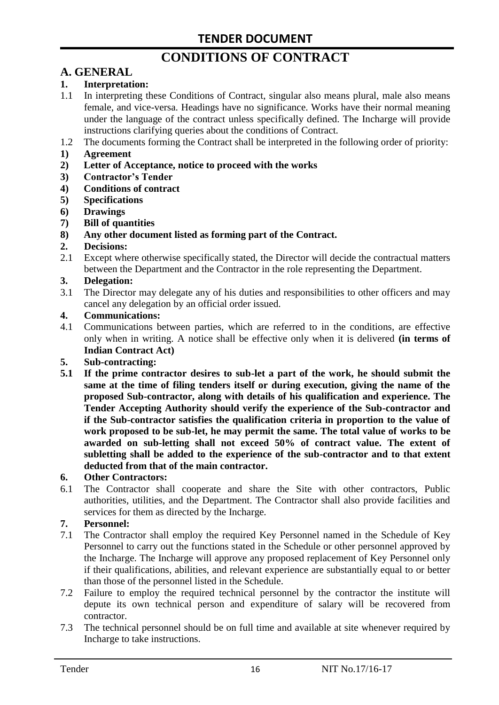# **CONDITIONS OF CONTRACT**

# **A. GENERAL**

#### **1. Interpretation:**

- 1.1 In interpreting these Conditions of Contract, singular also means plural, male also means female, and vice-versa. Headings have no significance. Works have their normal meaning under the language of the contract unless specifically defined. The Incharge will provide instructions clarifying queries about the conditions of Contract.
- 1.2 The documents forming the Contract shall be interpreted in the following order of priority:
- **1) Agreement**
- **2) Letter of Acceptance, notice to proceed with the works**
- **3) Contractor's Tender**
- **4) Conditions of contract**
- **5) Specifications**
- **6) Drawings**
- **7) Bill of quantities**
- **8) Any other document listed as forming part of the Contract.**

#### **2. Decisions:**

2.1 Except where otherwise specifically stated, the Director will decide the contractual matters between the Department and the Contractor in the role representing the Department.

#### **3. Delegation:**

3.1 The Director may delegate any of his duties and responsibilities to other officers and may cancel any delegation by an official order issued.

#### **4. Communications:**

4.1 Communications between parties, which are referred to in the conditions, are effective only when in writing. A notice shall be effective only when it is delivered **(in terms of Indian Contract Act)**

#### **5. Sub-contracting:**

**5.1 If the prime contractor desires to sub-let a part of the work, he should submit the same at the time of filing tenders itself or during execution, giving the name of the proposed Sub-contractor, along with details of his qualification and experience. The Tender Accepting Authority should verify the experience of the Sub-contractor and if the Sub-contractor satisfies the qualification criteria in proportion to the value of work proposed to be sub-let, he may permit the same. The total value of works to be awarded on sub-letting shall not exceed 50% of contract value. The extent of subletting shall be added to the experience of the sub-contractor and to that extent deducted from that of the main contractor.**

#### **6. Other Contractors:**

6.1 The Contractor shall cooperate and share the Site with other contractors, Public authorities, utilities, and the Department. The Contractor shall also provide facilities and services for them as directed by the Incharge.

#### **7. Personnel:**

- 7.1 The Contractor shall employ the required Key Personnel named in the Schedule of Key Personnel to carry out the functions stated in the Schedule or other personnel approved by the Incharge. The Incharge will approve any proposed replacement of Key Personnel only if their qualifications, abilities, and relevant experience are substantially equal to or better than those of the personnel listed in the Schedule.
- 7.2 Failure to employ the required technical personnel by the contractor the institute will depute its own technical person and expenditure of salary will be recovered from contractor.
- 7.3 The technical personnel should be on full time and available at site whenever required by Incharge to take instructions.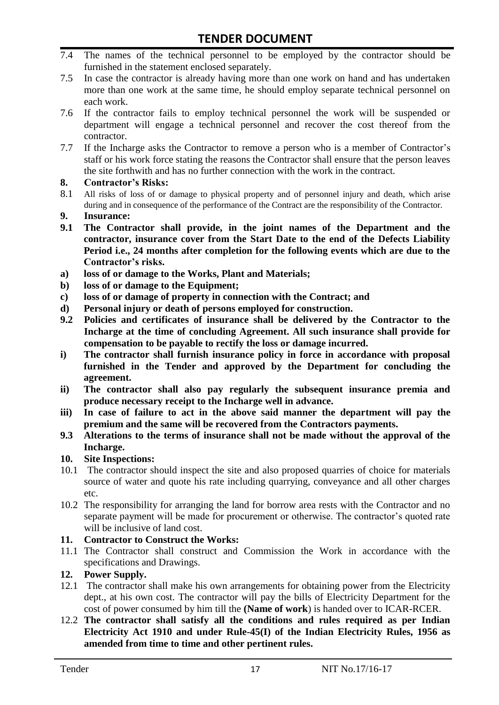- 7.4 The names of the technical personnel to be employed by the contractor should be furnished in the statement enclosed separately.
- 7.5 In case the contractor is already having more than one work on hand and has undertaken more than one work at the same time, he should employ separate technical personnel on each work.
- 7.6 If the contractor fails to employ technical personnel the work will be suspended or department will engage a technical personnel and recover the cost thereof from the contractor.
- 7.7 If the Incharge asks the Contractor to remove a person who is a member of Contractor"s staff or his work force stating the reasons the Contractor shall ensure that the person leaves the site forthwith and has no further connection with the work in the contract.

#### **8. Contractor's Risks:**

- 8.1 All risks of loss of or damage to physical property and of personnel injury and death, which arise during and in consequence of the performance of the Contract are the responsibility of the Contractor.
- **9. Insurance:**
- **9.1 The Contractor shall provide, in the joint names of the Department and the contractor, insurance cover from the Start Date to the end of the Defects Liability Period i.e., 24 months after completion for the following events which are due to the Contractor's risks.**
- **a) loss of or damage to the Works, Plant and Materials;**
- **b) loss of or damage to the Equipment;**
- **c) loss of or damage of property in connection with the Contract; and**
- **d) Personal injury or death of persons employed for construction.**
- **9.2 Policies and certificates of insurance shall be delivered by the Contractor to the Incharge at the time of concluding Agreement. All such insurance shall provide for compensation to be payable to rectify the loss or damage incurred.**
- **i) The contractor shall furnish insurance policy in force in accordance with proposal furnished in the Tender and approved by the Department for concluding the agreement.**
- **ii) The contractor shall also pay regularly the subsequent insurance premia and produce necessary receipt to the Incharge well in advance.**
- **iii) In case of failure to act in the above said manner the department will pay the premium and the same will be recovered from the Contractors payments.**
- **9.3 Alterations to the terms of insurance shall not be made without the approval of the Incharge.**

#### **10. Site Inspections:**

- 10.1 The contractor should inspect the site and also proposed quarries of choice for materials source of water and quote his rate including quarrying, conveyance and all other charges etc.
- 10.2 The responsibility for arranging the land for borrow area rests with the Contractor and no separate payment will be made for procurement or otherwise. The contractor's quoted rate will be inclusive of land cost.

#### **11. Contractor to Construct the Works:**

11.1 The Contractor shall construct and Commission the Work in accordance with the specifications and Drawings.

#### **12. Power Supply.**

- 12.1 The contractor shall make his own arrangements for obtaining power from the Electricity dept., at his own cost. The contractor will pay the bills of Electricity Department for the cost of power consumed by him till the **(Name of work**) is handed over to ICAR-RCER.
- 12.2 **The contractor shall satisfy all the conditions and rules required as per Indian Electricity Act 1910 and under Rule-45(I) of the Indian Electricity Rules, 1956 as amended from time to time and other pertinent rules.**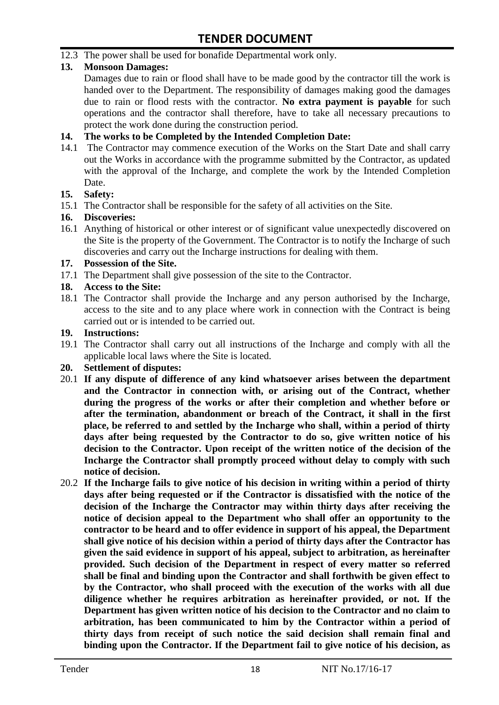12.3 The power shall be used for bonafide Departmental work only.

#### **13. Monsoon Damages:**

Damages due to rain or flood shall have to be made good by the contractor till the work is handed over to the Department. The responsibility of damages making good the damages due to rain or flood rests with the contractor. **No extra payment is payable** for such operations and the contractor shall therefore, have to take all necessary precautions to protect the work done during the construction period.

#### **14. The works to be Completed by the Intended Completion Date:**

14.1 The Contractor may commence execution of the Works on the Start Date and shall carry out the Works in accordance with the programme submitted by the Contractor, as updated with the approval of the Incharge, and complete the work by the Intended Completion Date.

#### **15. Safety:**

15.1 The Contractor shall be responsible for the safety of all activities on the Site.

#### **16. Discoveries:**

16.1 Anything of historical or other interest or of significant value unexpectedly discovered on the Site is the property of the Government. The Contractor is to notify the Incharge of such discoveries and carry out the Incharge instructions for dealing with them.

#### **17. Possession of the Site.**

17.1 The Department shall give possession of the site to the Contractor.

#### **18. Access to the Site:**

18.1 The Contractor shall provide the Incharge and any person authorised by the Incharge, access to the site and to any place where work in connection with the Contract is being carried out or is intended to be carried out.

#### **19. Instructions:**

- 19.1 The Contractor shall carry out all instructions of the Incharge and comply with all the applicable local laws where the Site is located.
- **20. Settlement of disputes:**
- 20.1 **If any dispute of difference of any kind whatsoever arises between the department and the Contractor in connection with, or arising out of the Contract, whether during the progress of the works or after their completion and whether before or after the termination, abandonment or breach of the Contract, it shall in the first place, be referred to and settled by the Incharge who shall, within a period of thirty days after being requested by the Contractor to do so, give written notice of his decision to the Contractor. Upon receipt of the written notice of the decision of the Incharge the Contractor shall promptly proceed without delay to comply with such notice of decision.**
- 20.2 **If the Incharge fails to give notice of his decision in writing within a period of thirty days after being requested or if the Contractor is dissatisfied with the notice of the decision of the Incharge the Contractor may within thirty days after receiving the notice of decision appeal to the Department who shall offer an opportunity to the contractor to be heard and to offer evidence in support of his appeal, the Department shall give notice of his decision within a period of thirty days after the Contractor has given the said evidence in support of his appeal, subject to arbitration, as hereinafter provided. Such decision of the Department in respect of every matter so referred shall be final and binding upon the Contractor and shall forthwith be given effect to by the Contractor, who shall proceed with the execution of the works with all due diligence whether he requires arbitration as hereinafter provided, or not. If the Department has given written notice of his decision to the Contractor and no claim to arbitration, has been communicated to him by the Contractor within a period of thirty days from receipt of such notice the said decision shall remain final and binding upon the Contractor. If the Department fail to give notice of his decision, as**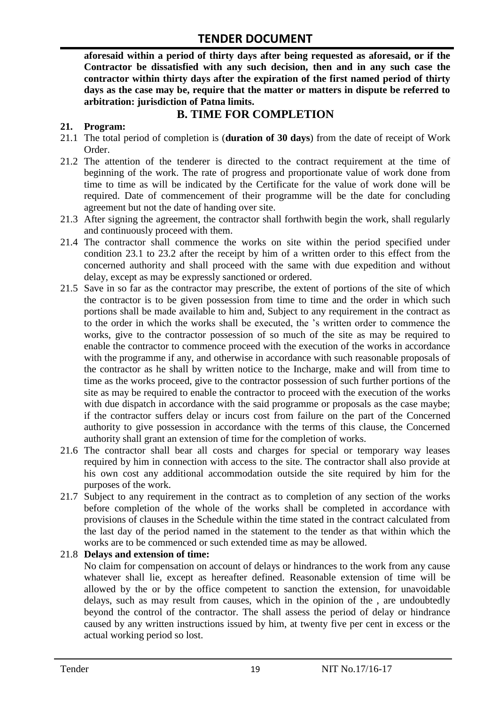**aforesaid within a period of thirty days after being requested as aforesaid, or if the Contractor be dissatisfied with any such decision, then and in any such case the contractor within thirty days after the expiration of the first named period of thirty days as the case may be, require that the matter or matters in dispute be referred to arbitration: jurisdiction of Patna limits.**

## **B. TIME FOR COMPLETION**

#### **21. Program:**

- 21.1 The total period of completion is (**duration of 30 days**) from the date of receipt of Work Order.
- 21.2 The attention of the tenderer is directed to the contract requirement at the time of beginning of the work. The rate of progress and proportionate value of work done from time to time as will be indicated by the Certificate for the value of work done will be required. Date of commencement of their programme will be the date for concluding agreement but not the date of handing over site.
- 21.3 After signing the agreement, the contractor shall forthwith begin the work, shall regularly and continuously proceed with them.
- 21.4 The contractor shall commence the works on site within the period specified under condition 23.1 to 23.2 after the receipt by him of a written order to this effect from the concerned authority and shall proceed with the same with due expedition and without delay, except as may be expressly sanctioned or ordered.
- 21.5 Save in so far as the contractor may prescribe, the extent of portions of the site of which the contractor is to be given possession from time to time and the order in which such portions shall be made available to him and, Subject to any requirement in the contract as to the order in which the works shall be executed, the "s written order to commence the works, give to the contractor possession of so much of the site as may be required to enable the contractor to commence proceed with the execution of the works in accordance with the programme if any, and otherwise in accordance with such reasonable proposals of the contractor as he shall by written notice to the Incharge, make and will from time to time as the works proceed, give to the contractor possession of such further portions of the site as may be required to enable the contractor to proceed with the execution of the works with due dispatch in accordance with the said programme or proposals as the case maybe; if the contractor suffers delay or incurs cost from failure on the part of the Concerned authority to give possession in accordance with the terms of this clause, the Concerned authority shall grant an extension of time for the completion of works.
- 21.6 The contractor shall bear all costs and charges for special or temporary way leases required by him in connection with access to the site. The contractor shall also provide at his own cost any additional accommodation outside the site required by him for the purposes of the work.
- 21.7 Subject to any requirement in the contract as to completion of any section of the works before completion of the whole of the works shall be completed in accordance with provisions of clauses in the Schedule within the time stated in the contract calculated from the last day of the period named in the statement to the tender as that within which the works are to be commenced or such extended time as may be allowed.

#### 21.8 **Delays and extension of time:**

No claim for compensation on account of delays or hindrances to the work from any cause whatever shall lie, except as hereafter defined. Reasonable extension of time will be allowed by the or by the office competent to sanction the extension, for unavoidable delays, such as may result from causes, which in the opinion of the , are undoubtedly beyond the control of the contractor. The shall assess the period of delay or hindrance caused by any written instructions issued by him, at twenty five per cent in excess or the actual working period so lost.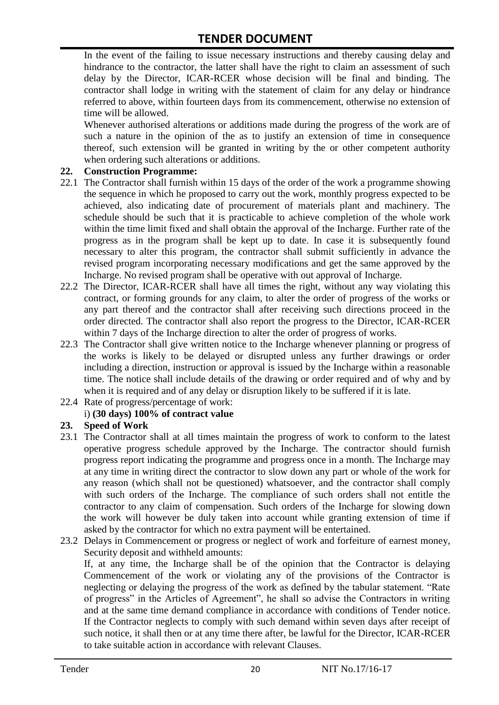In the event of the failing to issue necessary instructions and thereby causing delay and hindrance to the contractor, the latter shall have the right to claim an assessment of such delay by the Director, ICAR-RCER whose decision will be final and binding. The contractor shall lodge in writing with the statement of claim for any delay or hindrance referred to above, within fourteen days from its commencement, otherwise no extension of time will be allowed.

Whenever authorised alterations or additions made during the progress of the work are of such a nature in the opinion of the as to justify an extension of time in consequence thereof, such extension will be granted in writing by the or other competent authority when ordering such alterations or additions.

#### **22. Construction Programme:**

- 22.1 The Contractor shall furnish within 15 days of the order of the work a programme showing the sequence in which he proposed to carry out the work, monthly progress expected to be achieved, also indicating date of procurement of materials plant and machinery. The schedule should be such that it is practicable to achieve completion of the whole work within the time limit fixed and shall obtain the approval of the Incharge. Further rate of the progress as in the program shall be kept up to date. In case it is subsequently found necessary to alter this program, the contractor shall submit sufficiently in advance the revised program incorporating necessary modifications and get the same approved by the Incharge. No revised program shall be operative with out approval of Incharge.
- 22.2 The Director, ICAR-RCER shall have all times the right, without any way violating this contract, or forming grounds for any claim, to alter the order of progress of the works or any part thereof and the contractor shall after receiving such directions proceed in the order directed. The contractor shall also report the progress to the Director, ICAR-RCER within 7 days of the Incharge direction to alter the order of progress of works.
- 22.3 The Contractor shall give written notice to the Incharge whenever planning or progress of the works is likely to be delayed or disrupted unless any further drawings or order including a direction, instruction or approval is issued by the Incharge within a reasonable time. The notice shall include details of the drawing or order required and of why and by when it is required and of any delay or disruption likely to be suffered if it is late.
- 22.4 Rate of progress/percentage of work:

#### i) **(30 days) 100% of contract value**

#### **23. Speed of Work**

- 23.1 The Contractor shall at all times maintain the progress of work to conform to the latest operative progress schedule approved by the Incharge. The contractor should furnish progress report indicating the programme and progress once in a month. The Incharge may at any time in writing direct the contractor to slow down any part or whole of the work for any reason (which shall not be questioned) whatsoever, and the contractor shall comply with such orders of the Incharge. The compliance of such orders shall not entitle the contractor to any claim of compensation. Such orders of the Incharge for slowing down the work will however be duly taken into account while granting extension of time if asked by the contractor for which no extra payment will be entertained.
- 23.2 Delays in Commencement or progress or neglect of work and forfeiture of earnest money, Security deposit and withheld amounts:

If, at any time, the Incharge shall be of the opinion that the Contractor is delaying Commencement of the work or violating any of the provisions of the Contractor is neglecting or delaying the progress of the work as defined by the tabular statement. "Rate of progress" in the Articles of Agreement", he shall so advise the Contractors in writing and at the same time demand compliance in accordance with conditions of Tender notice. If the Contractor neglects to comply with such demand within seven days after receipt of such notice, it shall then or at any time there after, be lawful for the Director, ICAR-RCER to take suitable action in accordance with relevant Clauses.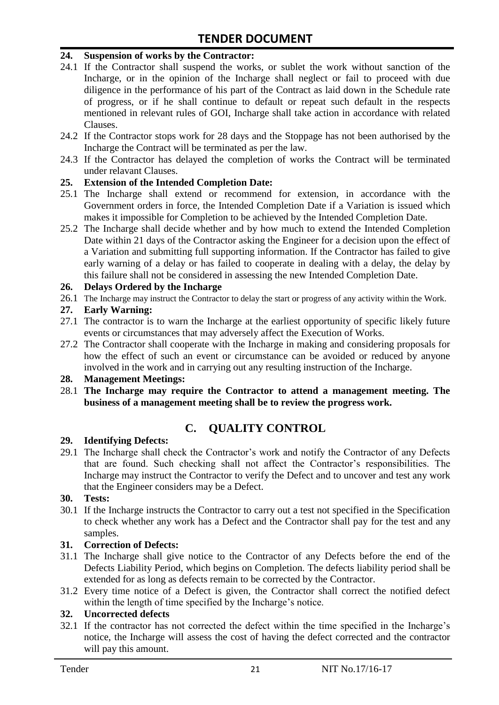#### **24. Suspension of works by the Contractor:**

- 24.1 If the Contractor shall suspend the works, or sublet the work without sanction of the Incharge, or in the opinion of the Incharge shall neglect or fail to proceed with due diligence in the performance of his part of the Contract as laid down in the Schedule rate of progress, or if he shall continue to default or repeat such default in the respects mentioned in relevant rules of GOI, Incharge shall take action in accordance with related Clauses.
- 24.2 If the Contractor stops work for 28 days and the Stoppage has not been authorised by the Incharge the Contract will be terminated as per the law.
- 24.3 If the Contractor has delayed the completion of works the Contract will be terminated under relavant Clauses.

#### **25. Extension of the Intended Completion Date:**

- 25.1 The Incharge shall extend or recommend for extension, in accordance with the Government orders in force, the Intended Completion Date if a Variation is issued which makes it impossible for Completion to be achieved by the Intended Completion Date.
- 25.2 The Incharge shall decide whether and by how much to extend the Intended Completion Date within 21 days of the Contractor asking the Engineer for a decision upon the effect of a Variation and submitting full supporting information. If the Contractor has failed to give early warning of a delay or has failed to cooperate in dealing with a delay, the delay by this failure shall not be considered in assessing the new Intended Completion Date.

#### **26. Delays Ordered by the Incharge**

26.1 The Incharge may instruct the Contractor to delay the start or progress of any activity within the Work.

#### **27. Early Warning:**

- 27.1 The contractor is to warn the Incharge at the earliest opportunity of specific likely future events or circumstances that may adversely affect the Execution of Works.
- 27.2 The Contractor shall cooperate with the Incharge in making and considering proposals for how the effect of such an event or circumstance can be avoided or reduced by anyone involved in the work and in carrying out any resulting instruction of the Incharge.

#### **28. Management Meetings:**

28.1 **The Incharge may require the Contractor to attend a management meeting. The business of a management meeting shall be to review the progress work.**

# **C. QUALITY CONTROL**

#### **29. Identifying Defects:**

29.1 The Incharge shall check the Contractor's work and notify the Contractor of any Defects that are found. Such checking shall not affect the Contractor"s responsibilities. The Incharge may instruct the Contractor to verify the Defect and to uncover and test any work that the Engineer considers may be a Defect.

#### **30. Tests:**

30.1 If the Incharge instructs the Contractor to carry out a test not specified in the Specification to check whether any work has a Defect and the Contractor shall pay for the test and any samples.

#### **31. Correction of Defects:**

- 31.1 The Incharge shall give notice to the Contractor of any Defects before the end of the Defects Liability Period, which begins on Completion. The defects liability period shall be extended for as long as defects remain to be corrected by the Contractor.
- 31.2 Every time notice of a Defect is given, the Contractor shall correct the notified defect within the length of time specified by the Incharge's notice.

#### **32. Uncorrected defects**

32.1 If the contractor has not corrected the defect within the time specified in the Incharge"s notice, the Incharge will assess the cost of having the defect corrected and the contractor will pay this amount.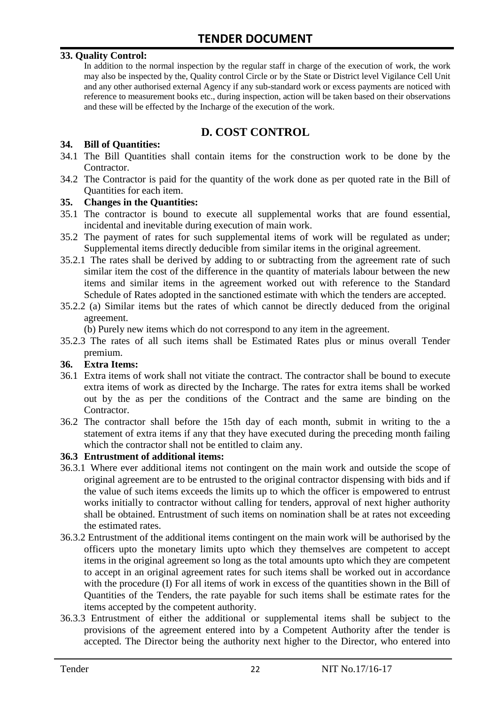#### **33. Quality Control:**

In addition to the normal inspection by the regular staff in charge of the execution of work, the work may also be inspected by the, Quality control Circle or by the State or District level Vigilance Cell Unit and any other authorised external Agency if any sub-standard work or excess payments are noticed with reference to measurement books etc., during inspection, action will be taken based on their observations and these will be effected by the Incharge of the execution of the work.

# **D. COST CONTROL**

#### **34. Bill of Quantities:**

- 34.1 The Bill Quantities shall contain items for the construction work to be done by the Contractor.
- 34.2 The Contractor is paid for the quantity of the work done as per quoted rate in the Bill of Quantities for each item.

#### **35. Changes in the Quantities:**

- 35.1 The contractor is bound to execute all supplemental works that are found essential, incidental and inevitable during execution of main work.
- 35.2 The payment of rates for such supplemental items of work will be regulated as under; Supplemental items directly deducible from similar items in the original agreement.
- 35.2.1 The rates shall be derived by adding to or subtracting from the agreement rate of such similar item the cost of the difference in the quantity of materials labour between the new items and similar items in the agreement worked out with reference to the Standard Schedule of Rates adopted in the sanctioned estimate with which the tenders are accepted.
- 35.2.2 (a) Similar items but the rates of which cannot be directly deduced from the original agreement.

(b) Purely new items which do not correspond to any item in the agreement.

35.2.3 The rates of all such items shall be Estimated Rates plus or minus overall Tender premium.

#### **36. Extra Items:**

- 36.1 Extra items of work shall not vitiate the contract. The contractor shall be bound to execute extra items of work as directed by the Incharge. The rates for extra items shall be worked out by the as per the conditions of the Contract and the same are binding on the Contractor.
- 36.2 The contractor shall before the 15th day of each month, submit in writing to the a statement of extra items if any that they have executed during the preceding month failing which the contractor shall not be entitled to claim any.

#### **36.3 Entrustment of additional items:**

- 36.3.1 Where ever additional items not contingent on the main work and outside the scope of original agreement are to be entrusted to the original contractor dispensing with bids and if the value of such items exceeds the limits up to which the officer is empowered to entrust works initially to contractor without calling for tenders, approval of next higher authority shall be obtained. Entrustment of such items on nomination shall be at rates not exceeding the estimated rates.
- 36.3.2 Entrustment of the additional items contingent on the main work will be authorised by the officers upto the monetary limits upto which they themselves are competent to accept items in the original agreement so long as the total amounts upto which they are competent to accept in an original agreement rates for such items shall be worked out in accordance with the procedure (I) For all items of work in excess of the quantities shown in the Bill of Quantities of the Tenders, the rate payable for such items shall be estimate rates for the items accepted by the competent authority.
- 36.3.3 Entrustment of either the additional or supplemental items shall be subject to the provisions of the agreement entered into by a Competent Authority after the tender is accepted. The Director being the authority next higher to the Director, who entered into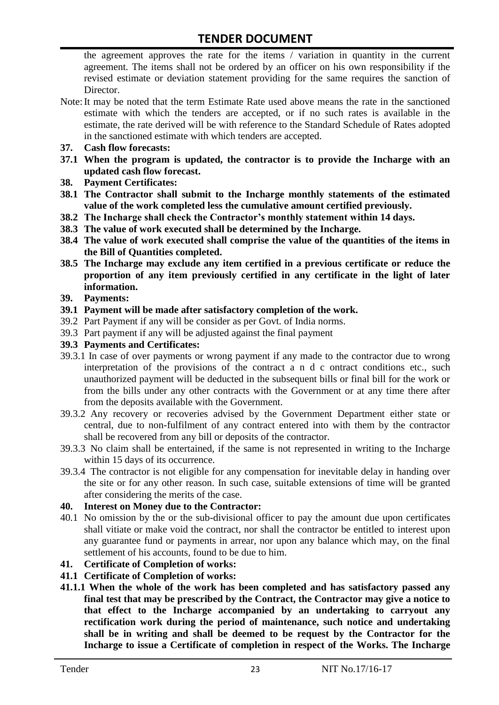the agreement approves the rate for the items / variation in quantity in the current agreement. The items shall not be ordered by an officer on his own responsibility if the revised estimate or deviation statement providing for the same requires the sanction of Director.

- Note:It may be noted that the term Estimate Rate used above means the rate in the sanctioned estimate with which the tenders are accepted, or if no such rates is available in the estimate, the rate derived will be with reference to the Standard Schedule of Rates adopted in the sanctioned estimate with which tenders are accepted.
- **37. Cash flow forecasts:**
- **37.1 When the program is updated, the contractor is to provide the Incharge with an updated cash flow forecast.**
- **38. Payment Certificates:**
- **38.1 The Contractor shall submit to the Incharge monthly statements of the estimated value of the work completed less the cumulative amount certified previously.**
- **38.2 The Incharge shall check the Contractor's monthly statement within 14 days.**
- **38.3 The value of work executed shall be determined by the Incharge.**
- **38.4 The value of work executed shall comprise the value of the quantities of the items in the Bill of Quantities completed.**
- **38.5 The Incharge may exclude any item certified in a previous certificate or reduce the proportion of any item previously certified in any certificate in the light of later information.**
- **39. Payments:**
- **39.1 Payment will be made after satisfactory completion of the work.**
- 39.2 Part Payment if any will be consider as per Govt. of India norms.
- 39.3 Part payment if any will be adjusted against the final payment
- **39.3 Payments and Certificates:**
- 39.3.1 In case of over payments or wrong payment if any made to the contractor due to wrong interpretation of the provisions of the contract a n d c ontract conditions etc., such unauthorized payment will be deducted in the subsequent bills or final bill for the work or from the bills under any other contracts with the Government or at any time there after from the deposits available with the Government.
- 39.3.2 Any recovery or recoveries advised by the Government Department either state or central, due to non-fulfilment of any contract entered into with them by the contractor shall be recovered from any bill or deposits of the contractor.
- 39.3.3 No claim shall be entertained, if the same is not represented in writing to the Incharge within 15 days of its occurrence.
- 39.3.4 The contractor is not eligible for any compensation for inevitable delay in handing over the site or for any other reason. In such case, suitable extensions of time will be granted after considering the merits of the case.

#### **40. Interest on Money due to the Contractor:**

- 40.1 No omission by the or the sub-divisional officer to pay the amount due upon certificates shall vitiate or make void the contract, nor shall the contractor be entitled to interest upon any guarantee fund or payments in arrear, nor upon any balance which may, on the final settlement of his accounts, found to be due to him.
- **41. Certificate of Completion of works:**
- **41.1 Certificate of Completion of works:**
- **41.1.1 When the whole of the work has been completed and has satisfactory passed any final test that may be prescribed by the Contract, the Contractor may give a notice to that effect to the Incharge accompanied by an undertaking to carryout any rectification work during the period of maintenance, such notice and undertaking shall be in writing and shall be deemed to be request by the Contractor for the Incharge to issue a Certificate of completion in respect of the Works. The Incharge**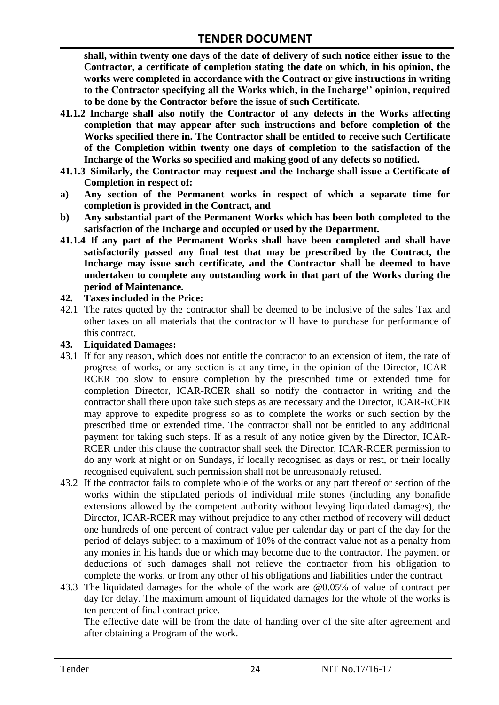**shall, within twenty one days of the date of delivery of such notice either issue to the Contractor, a certificate of completion stating the date on which, in his opinion, the works were completed in accordance with the Contract or give instructions in writing to the Contractor specifying all the Works which, in the Incharge'' opinion, required to be done by the Contractor before the issue of such Certificate.**

- **41.1.2 Incharge shall also notify the Contractor of any defects in the Works affecting completion that may appear after such instructions and before completion of the Works specified there in. The Contractor shall be entitled to receive such Certificate of the Completion within twenty one days of completion to the satisfaction of the Incharge of the Works so specified and making good of any defects so notified.**
- **41.1.3 Similarly, the Contractor may request and the Incharge shall issue a Certificate of Completion in respect of:**
- **a) Any section of the Permanent works in respect of which a separate time for completion is provided in the Contract, and**
- **b) Any substantial part of the Permanent Works which has been both completed to the satisfaction of the Incharge and occupied or used by the Department.**
- **41.1.4 If any part of the Permanent Works shall have been completed and shall have satisfactorily passed any final test that may be prescribed by the Contract, the Incharge may issue such certificate, and the Contractor shall be deemed to have undertaken to complete any outstanding work in that part of the Works during the period of Maintenance.**

#### **42. Taxes included in the Price:**

42.1 The rates quoted by the contractor shall be deemed to be inclusive of the sales Tax and other taxes on all materials that the contractor will have to purchase for performance of this contract.

#### **43. Liquidated Damages:**

- 43.1 If for any reason, which does not entitle the contractor to an extension of item, the rate of progress of works, or any section is at any time, in the opinion of the Director, ICAR-RCER too slow to ensure completion by the prescribed time or extended time for completion Director, ICAR-RCER shall so notify the contractor in writing and the contractor shall there upon take such steps as are necessary and the Director, ICAR-RCER may approve to expedite progress so as to complete the works or such section by the prescribed time or extended time. The contractor shall not be entitled to any additional payment for taking such steps. If as a result of any notice given by the Director, ICAR-RCER under this clause the contractor shall seek the Director, ICAR-RCER permission to do any work at night or on Sundays, if locally recognised as days or rest, or their locally recognised equivalent, such permission shall not be unreasonably refused.
- 43.2 If the contractor fails to complete whole of the works or any part thereof or section of the works within the stipulated periods of individual mile stones (including any bonafide extensions allowed by the competent authority without levying liquidated damages), the Director, ICAR-RCER may without prejudice to any other method of recovery will deduct one hundreds of one percent of contract value per calendar day or part of the day for the period of delays subject to a maximum of 10% of the contract value not as a penalty from any monies in his hands due or which may become due to the contractor. The payment or deductions of such damages shall not relieve the contractor from his obligation to complete the works, or from any other of his obligations and liabilities under the contract
- 43.3 The liquidated damages for the whole of the work are @0.05% of value of contract per day for delay. The maximum amount of liquidated damages for the whole of the works is ten percent of final contract price.

The effective date will be from the date of handing over of the site after agreement and after obtaining a Program of the work.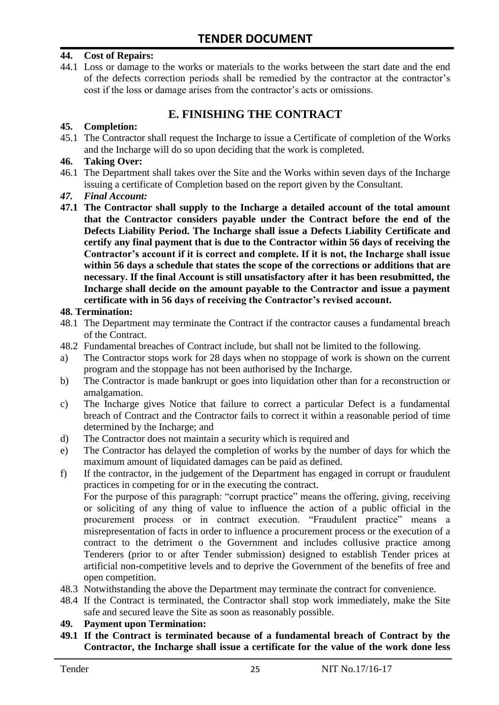#### **44. Cost of Repairs:**

44.1 Loss or damage to the works or materials to the works between the start date and the end of the defects correction periods shall be remedied by the contractor at the contractor"s cost if the loss or damage arises from the contractor's acts or omissions.

# **E. FINISHING THE CONTRACT**

#### **45. Completion:**

45.1 The Contractor shall request the Incharge to issue a Certificate of completion of the Works and the Incharge will do so upon deciding that the work is completed.

#### **46. Taking Over:**

- 46.1 The Department shall takes over the Site and the Works within seven days of the Incharge issuing a certificate of Completion based on the report given by the Consultant.
- *47. Final Account:*
- **47.1 The Contractor shall supply to the Incharge a detailed account of the total amount that the Contractor considers payable under the Contract before the end of the Defects Liability Period. The Incharge shall issue a Defects Liability Certificate and certify any final payment that is due to the Contractor within 56 days of receiving the Contractor's account if it is correct and complete. If it is not, the Incharge shall issue within 56 days a schedule that states the scope of the corrections or additions that are necessary. If the final Account is still unsatisfactory after it has been resubmitted, the Incharge shall decide on the amount payable to the Contractor and issue a payment certificate with in 56 days of receiving the Contractor's revised account.**

#### **48. Termination:**

- 48.1 The Department may terminate the Contract if the contractor causes a fundamental breach of the Contract.
- 48.2 Fundamental breaches of Contract include, but shall not be limited to the following.
- a) The Contractor stops work for 28 days when no stoppage of work is shown on the current program and the stoppage has not been authorised by the Incharge.
- b) The Contractor is made bankrupt or goes into liquidation other than for a reconstruction or amalgamation.
- c) The Incharge gives Notice that failure to correct a particular Defect is a fundamental breach of Contract and the Contractor fails to correct it within a reasonable period of time determined by the Incharge; and
- d) The Contractor does not maintain a security which is required and
- e) The Contractor has delayed the completion of works by the number of days for which the maximum amount of liquidated damages can be paid as defined.
- f) If the contractor, in the judgement of the Department has engaged in corrupt or fraudulent practices in competing for or in the executing the contract.

For the purpose of this paragraph: "corrupt practice" means the offering, giving, receiving or soliciting of any thing of value to influence the action of a public official in the procurement process or in contract execution. "Fraudulent practice" means a misrepresentation of facts in order to influence a procurement process or the execution of a contract to the detriment o the Government and includes collusive practice among Tenderers (prior to or after Tender submission) designed to establish Tender prices at artificial non-competitive levels and to deprive the Government of the benefits of free and open competition.

- 48.3 Notwithstanding the above the Department may terminate the contract for convenience.
- 48.4 If the Contract is terminated, the Contractor shall stop work immediately, make the Site safe and secured leave the Site as soon as reasonably possible.

#### **49. Payment upon Termination:**

**49.1 If the Contract is terminated because of a fundamental breach of Contract by the Contractor, the Incharge shall issue a certificate for the value of the work done less**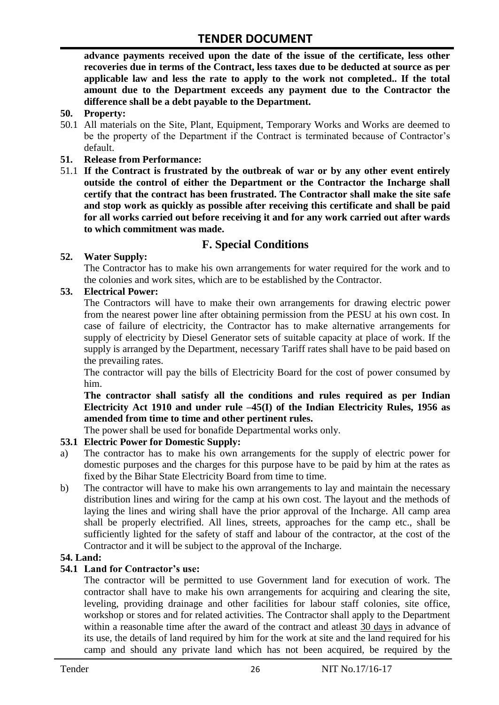**advance payments received upon the date of the issue of the certificate, less other recoveries due in terms of the Contract, less taxes due to be deducted at source as per applicable law and less the rate to apply to the work not completed.. If the total amount due to the Department exceeds any payment due to the Contractor the difference shall be a debt payable to the Department.**

- **50. Property:**
- 50.1 All materials on the Site, Plant, Equipment, Temporary Works and Works are deemed to be the property of the Department if the Contract is terminated because of Contractor's default.
- **51. Release from Performance:**
- 51.1 **If the Contract is frustrated by the outbreak of war or by any other event entirely outside the control of either the Department or the Contractor the Incharge shall certify that the contract has been frustrated. The Contractor shall make the site safe and stop work as quickly as possible after receiving this certificate and shall be paid for all works carried out before receiving it and for any work carried out after wards to which commitment was made.**

# **F. Special Conditions**

#### **52. Water Supply:**

The Contractor has to make his own arrangements for water required for the work and to the colonies and work sites, which are to be established by the Contractor.

#### **53. Electrical Power:**

The Contractors will have to make their own arrangements for drawing electric power from the nearest power line after obtaining permission from the PESU at his own cost. In case of failure of electricity, the Contractor has to make alternative arrangements for supply of electricity by Diesel Generator sets of suitable capacity at place of work. If the supply is arranged by the Department, necessary Tariff rates shall have to be paid based on the prevailing rates.

The contractor will pay the bills of Electricity Board for the cost of power consumed by him.

**The contractor shall satisfy all the conditions and rules required as per Indian Electricity Act 1910 and under rule –45(I) of the Indian Electricity Rules, 1956 as amended from time to time and other pertinent rules.**

The power shall be used for bonafide Departmental works only.

#### **53.1 Electric Power for Domestic Supply:**

- a) The contractor has to make his own arrangements for the supply of electric power for domestic purposes and the charges for this purpose have to be paid by him at the rates as fixed by the Bihar State Electricity Board from time to time.
- b) The contractor will have to make his own arrangements to lay and maintain the necessary distribution lines and wiring for the camp at his own cost. The layout and the methods of laying the lines and wiring shall have the prior approval of the Incharge. All camp area shall be properly electrified. All lines, streets, approaches for the camp etc., shall be sufficiently lighted for the safety of staff and labour of the contractor, at the cost of the Contractor and it will be subject to the approval of the Incharge.

#### **54. Land:**

#### **54.1 Land for Contractor's use:**

The contractor will be permitted to use Government land for execution of work. The contractor shall have to make his own arrangements for acquiring and clearing the site, leveling, providing drainage and other facilities for labour staff colonies, site office, workshop or stores and for related activities. The Contractor shall apply to the Department within a reasonable time after the award of the contract and atleast 30 days in advance of its use, the details of land required by him for the work at site and the land required for his camp and should any private land which has not been acquired, be required by the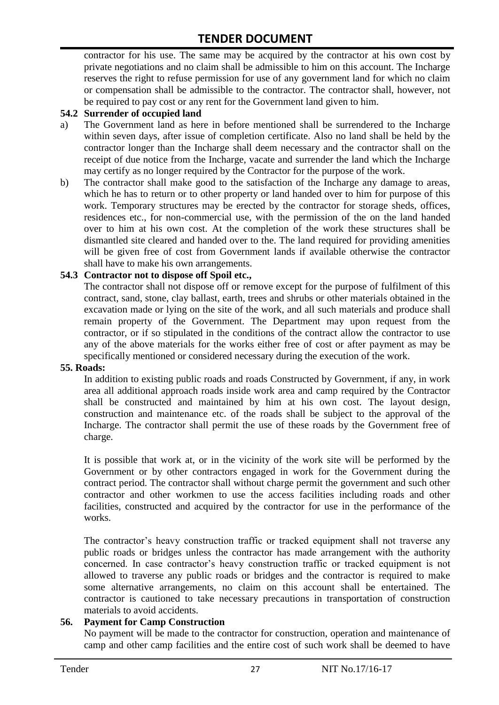contractor for his use. The same may be acquired by the contractor at his own cost by private negotiations and no claim shall be admissible to him on this account. The Incharge reserves the right to refuse permission for use of any government land for which no claim or compensation shall be admissible to the contractor. The contractor shall, however, not be required to pay cost or any rent for the Government land given to him.

#### **54.2 Surrender of occupied land**

- a) The Government land as here in before mentioned shall be surrendered to the Incharge within seven days, after issue of completion certificate. Also no land shall be held by the contractor longer than the Incharge shall deem necessary and the contractor shall on the receipt of due notice from the Incharge, vacate and surrender the land which the Incharge may certify as no longer required by the Contractor for the purpose of the work.
- b) The contractor shall make good to the satisfaction of the Incharge any damage to areas, which he has to return or to other property or land handed over to him for purpose of this work. Temporary structures may be erected by the contractor for storage sheds, offices, residences etc., for non-commercial use, with the permission of the on the land handed over to him at his own cost. At the completion of the work these structures shall be dismantled site cleared and handed over to the. The land required for providing amenities will be given free of cost from Government lands if available otherwise the contractor shall have to make his own arrangements.

#### **54.3 Contractor not to dispose off Spoil etc.,**

The contractor shall not dispose off or remove except for the purpose of fulfilment of this contract, sand, stone, clay ballast, earth, trees and shrubs or other materials obtained in the excavation made or lying on the site of the work, and all such materials and produce shall remain property of the Government. The Department may upon request from the contractor, or if so stipulated in the conditions of the contract allow the contractor to use any of the above materials for the works either free of cost or after payment as may be specifically mentioned or considered necessary during the execution of the work.

#### **55. Roads:**

In addition to existing public roads and roads Constructed by Government, if any, in work area all additional approach roads inside work area and camp required by the Contractor shall be constructed and maintained by him at his own cost. The layout design, construction and maintenance etc. of the roads shall be subject to the approval of the Incharge. The contractor shall permit the use of these roads by the Government free of charge.

It is possible that work at, or in the vicinity of the work site will be performed by the Government or by other contractors engaged in work for the Government during the contract period. The contractor shall without charge permit the government and such other contractor and other workmen to use the access facilities including roads and other facilities, constructed and acquired by the contractor for use in the performance of the works.

The contractor's heavy construction traffic or tracked equipment shall not traverse any public roads or bridges unless the contractor has made arrangement with the authority concerned. In case contractor"s heavy construction traffic or tracked equipment is not allowed to traverse any public roads or bridges and the contractor is required to make some alternative arrangements, no claim on this account shall be entertained. The contractor is cautioned to take necessary precautions in transportation of construction materials to avoid accidents.

#### **56. Payment for Camp Construction**

No payment will be made to the contractor for construction, operation and maintenance of camp and other camp facilities and the entire cost of such work shall be deemed to have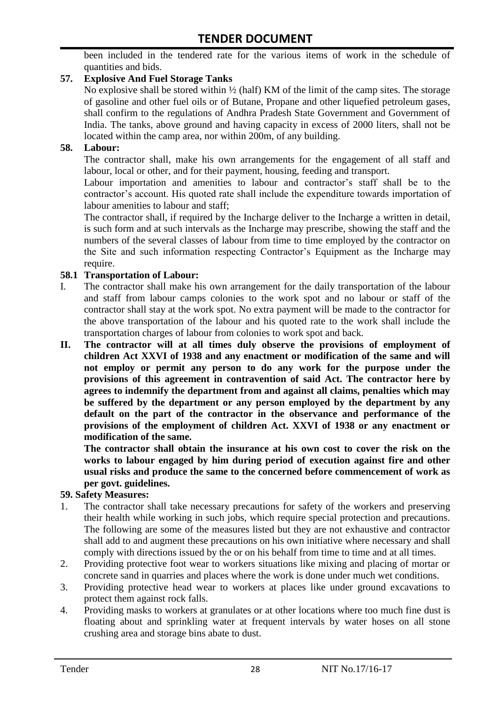been included in the tendered rate for the various items of work in the schedule of quantities and bids.

#### **57. Explosive And Fuel Storage Tanks**

No explosive shall be stored within ½ (half) KM of the limit of the camp sites. The storage of gasoline and other fuel oils or of Butane, Propane and other liquefied petroleum gases, shall confirm to the regulations of Andhra Pradesh State Government and Government of India. The tanks, above ground and having capacity in excess of 2000 liters, shall not be located within the camp area, nor within 200m, of any building.

#### **58. Labour:**

The contractor shall, make his own arrangements for the engagement of all staff and labour, local or other, and for their payment, housing, feeding and transport.

Labour importation and amenities to labour and contractor's staff shall be to the contractor's account. His quoted rate shall include the expenditure towards importation of labour amenities to labour and staff;

The contractor shall, if required by the Incharge deliver to the Incharge a written in detail, is such form and at such intervals as the Incharge may prescribe, showing the staff and the numbers of the several classes of labour from time to time employed by the contractor on the Site and such information respecting Contractor"s Equipment as the Incharge may require.

#### **58.1 Transportation of Labour:**

- I. The contractor shall make his own arrangement for the daily transportation of the labour and staff from labour camps colonies to the work spot and no labour or staff of the contractor shall stay at the work spot. No extra payment will be made to the contractor for the above transportation of the labour and his quoted rate to the work shall include the transportation charges of labour from colonies to work spot and back.
- **II. The contractor will at all times duly observe the provisions of employment of children Act XXVI of 1938 and any enactment or modification of the same and will not employ or permit any person to do any work for the purpose under the provisions of this agreement in contravention of said Act. The contractor here by agrees to indemnify the department from and against all claims, penalties which may be suffered by the department or any person employed by the department by any default on the part of the contractor in the observance and performance of the provisions of the employment of children Act. XXVI of 1938 or any enactment or modification of the same.**

**The contractor shall obtain the insurance at his own cost to cover the risk on the works to labour engaged by him during period of execution against fire and other usual risks and produce the same to the concerned before commencement of work as per govt. guidelines.**

#### **59. Safety Measures:**

- 1. The contractor shall take necessary precautions for safety of the workers and preserving their health while working in such jobs, which require special protection and precautions. The following are some of the measures listed but they are not exhaustive and contractor shall add to and augment these precautions on his own initiative where necessary and shall comply with directions issued by the or on his behalf from time to time and at all times.
- 2. Providing protective foot wear to workers situations like mixing and placing of mortar or concrete sand in quarries and places where the work is done under much wet conditions.
- 3. Providing protective head wear to workers at places like under ground excavations to protect them against rock falls.
- 4. Providing masks to workers at granulates or at other locations where too much fine dust is floating about and sprinkling water at frequent intervals by water hoses on all stone crushing area and storage bins abate to dust.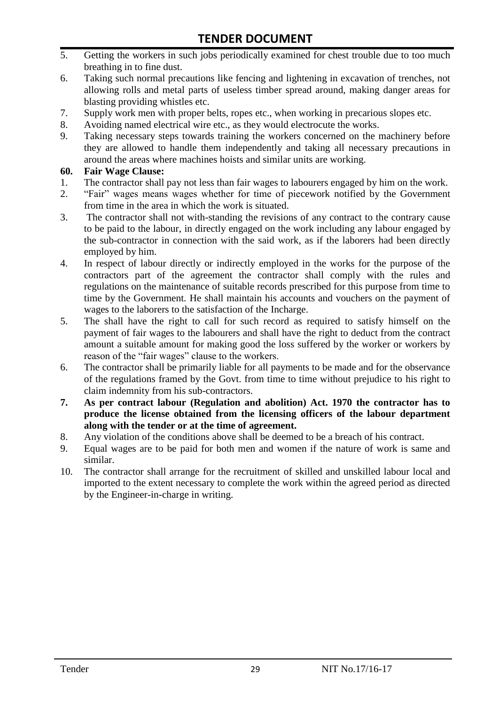- 5. Getting the workers in such jobs periodically examined for chest trouble due to too much breathing in to fine dust.
- 6. Taking such normal precautions like fencing and lightening in excavation of trenches, not allowing rolls and metal parts of useless timber spread around, making danger areas for blasting providing whistles etc.
- 7. Supply work men with proper belts, ropes etc., when working in precarious slopes etc.
- 8. Avoiding named electrical wire etc., as they would electrocute the works.
- 9. Taking necessary steps towards training the workers concerned on the machinery before they are allowed to handle them independently and taking all necessary precautions in around the areas where machines hoists and similar units are working.

#### **60. Fair Wage Clause:**

- 1. The contractor shall pay not less than fair wages to labourers engaged by him on the work.
- 2. "Fair" wages means wages whether for time of piecework notified by the Government from time in the area in which the work is situated.
- 3. The contractor shall not with-standing the revisions of any contract to the contrary cause to be paid to the labour, in directly engaged on the work including any labour engaged by the sub-contractor in connection with the said work, as if the laborers had been directly employed by him.
- 4. In respect of labour directly or indirectly employed in the works for the purpose of the contractors part of the agreement the contractor shall comply with the rules and regulations on the maintenance of suitable records prescribed for this purpose from time to time by the Government. He shall maintain his accounts and vouchers on the payment of wages to the laborers to the satisfaction of the Incharge.
- 5. The shall have the right to call for such record as required to satisfy himself on the payment of fair wages to the labourers and shall have the right to deduct from the contract amount a suitable amount for making good the loss suffered by the worker or workers by reason of the "fair wages" clause to the workers.
- 6. The contractor shall be primarily liable for all payments to be made and for the observance of the regulations framed by the Govt. from time to time without prejudice to his right to claim indemnity from his sub-contractors.
- **7. As per contract labour (Regulation and abolition) Act. 1970 the contractor has to produce the license obtained from the licensing officers of the labour department along with the tender or at the time of agreement.**
- 8. Any violation of the conditions above shall be deemed to be a breach of his contract.
- 9. Equal wages are to be paid for both men and women if the nature of work is same and similar.
- 10. The contractor shall arrange for the recruitment of skilled and unskilled labour local and imported to the extent necessary to complete the work within the agreed period as directed by the Engineer-in-charge in writing.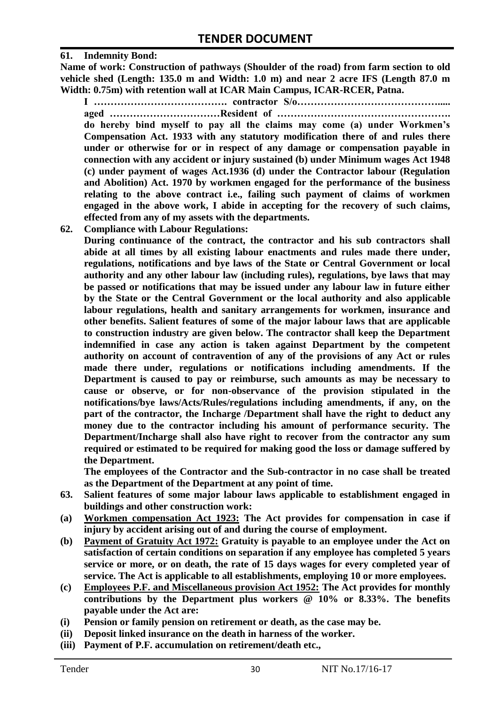#### **61. Indemnity Bond:**

**Name of work: Construction of pathways (Shoulder of the road) from farm section to old vehicle shed (Length: 135.0 m and Width: 1.0 m) and near 2 acre IFS (Length 87.0 m Width: 0.75m) with retention wall at ICAR Main Campus, ICAR-RCER, Patna.**

**I …………………………………. contractor S/o…………………………………….....** 

**aged ……………………………Resident of ……………………………………………. do hereby bind myself to pay all the claims may come (a) under Workmen's Compensation Act. 1933 with any statutory modification there of and rules there under or otherwise for or in respect of any damage or compensation payable in connection with any accident or injury sustained (b) under Minimum wages Act 1948 (c) under payment of wages Act.1936 (d) under the Contractor labour (Regulation and Abolition) Act. 1970 by workmen engaged for the performance of the business relating to the above contract i.e., failing such payment of claims of workmen engaged in the above work, I abide in accepting for the recovery of such claims, effected from any of my assets with the departments.**

**62. Compliance with Labour Regulations:**

**During continuance of the contract, the contractor and his sub contractors shall abide at all times by all existing labour enactments and rules made there under, regulations, notifications and bye laws of the State or Central Government or local authority and any other labour law (including rules), regulations, bye laws that may be passed or notifications that may be issued under any labour law in future either by the State or the Central Government or the local authority and also applicable labour regulations, health and sanitary arrangements for workmen, insurance and other benefits. Salient features of some of the major labour laws that are applicable to construction industry are given below. The contractor shall keep the Department indemnified in case any action is taken against Department by the competent authority on account of contravention of any of the provisions of any Act or rules made there under, regulations or notifications including amendments. If the Department is caused to pay or reimburse, such amounts as may be necessary to cause or observe, or for non-observance of the provision stipulated in the notifications/bye laws/Acts/Rules/regulations including amendments, if any, on the part of the contractor, the Incharge /Department shall have the right to deduct any money due to the contractor including his amount of performance security. The Department/Incharge shall also have right to recover from the contractor any sum required or estimated to be required for making good the loss or damage suffered by the Department.**

**The employees of the Contractor and the Sub-contractor in no case shall be treated as the Department of the Department at any point of time.**

- **63. Salient features of some major labour laws applicable to establishment engaged in buildings and other construction work:**
- **(a) Workmen compensation Act 1923: The Act provides for compensation in case if injury by accident arising out of and during the course of employment.**
- **(b) Payment of Gratuity Act 1972: Gratuity is payable to an employee under the Act on satisfaction of certain conditions on separation if any employee has completed 5 years service or more, or on death, the rate of 15 days wages for every completed year of service. The Act is applicable to all establishments, employing 10 or more employees.**
- **(c) Employees P.F. and Miscellaneous provision Act 1952: The Act provides for monthly contributions by the Department plus workers @ 10% or 8.33%. The benefits payable under the Act are:**
- **(i) Pension or family pension on retirement or death, as the case may be.**
- **(ii) Deposit linked insurance on the death in harness of the worker.**
- **(iii) Payment of P.F. accumulation on retirement/death etc.,**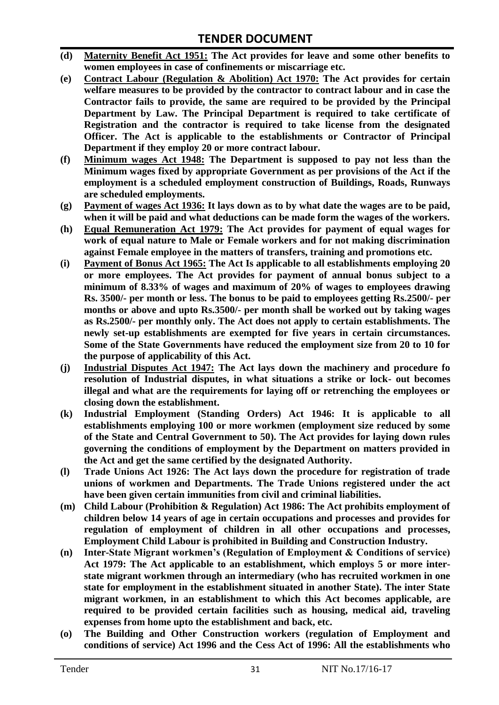- **(d) Maternity Benefit Act 1951: The Act provides for leave and some other benefits to women employees in case of confinements or miscarriage etc.**
- **(e) Contract Labour (Regulation & Abolition) Act 1970: The Act provides for certain welfare measures to be provided by the contractor to contract labour and in case the Contractor fails to provide, the same are required to be provided by the Principal Department by Law. The Principal Department is required to take certificate of Registration and the contractor is required to take license from the designated Officer. The Act is applicable to the establishments or Contractor of Principal Department if they employ 20 or more contract labour.**
- **(f) Minimum wages Act 1948: The Department is supposed to pay not less than the Minimum wages fixed by appropriate Government as per provisions of the Act if the employment is a scheduled employment construction of Buildings, Roads, Runways are scheduled employments.**
- **(g) Payment of wages Act 1936: It lays down as to by what date the wages are to be paid, when it will be paid and what deductions can be made form the wages of the workers.**
- **(h) Equal Remuneration Act 1979: The Act provides for payment of equal wages for work of equal nature to Male or Female workers and for not making discrimination against Female employee in the matters of transfers, training and promotions etc.**
- **(i) Payment of Bonus Act 1965: The Act Is applicable to all establishments employing 20 or more employees. The Act provides for payment of annual bonus subject to a minimum of 8.33% of wages and maximum of 20% of wages to employees drawing Rs. 3500/- per month or less. The bonus to be paid to employees getting Rs.2500/- per months or above and upto Rs.3500/- per month shall be worked out by taking wages as Rs.2500/- per monthly only. The Act does not apply to certain establishments. The newly set-up establishments are exempted for five years in certain circumstances. Some of the State Governments have reduced the employment size from 20 to 10 for the purpose of applicability of this Act.**
- **(j) Industrial Disputes Act 1947: The Act lays down the machinery and procedure fo resolution of Industrial disputes, in what situations a strike or lock- out becomes illegal and what are the requirements for laying off or retrenching the employees or closing down the establishment.**
- **(k) Industrial Employment (Standing Orders) Act 1946: It is applicable to all establishments employing 100 or more workmen (employment size reduced by some of the State and Central Government to 50). The Act provides for laying down rules governing the conditions of employment by the Department on matters provided in the Act and get the same certified by the designated Authority.**
- **(l) Trade Unions Act 1926: The Act lays down the procedure for registration of trade unions of workmen and Departments. The Trade Unions registered under the act have been given certain immunities from civil and criminal liabilities.**
- **(m) Child Labour (Prohibition & Regulation) Act 1986: The Act prohibits employment of children below 14 years of age in certain occupations and processes and provides for regulation of employment of children in all other occupations and processes, Employment Child Labour is prohibited in Building and Construction Industry.**
- **(n) Inter-State Migrant workmen's (Regulation of Employment & Conditions of service) Act 1979: The Act applicable to an establishment, which employs 5 or more interstate migrant workmen through an intermediary (who has recruited workmen in one state for employment in the establishment situated in another State). The inter State migrant workmen, in an establishment to which this Act becomes applicable, are required to be provided certain facilities such as housing, medical aid, traveling expenses from home upto the establishment and back, etc.**
- **(o) The Building and Other Construction workers (regulation of Employment and conditions of service) Act 1996 and the Cess Act of 1996: All the establishments who**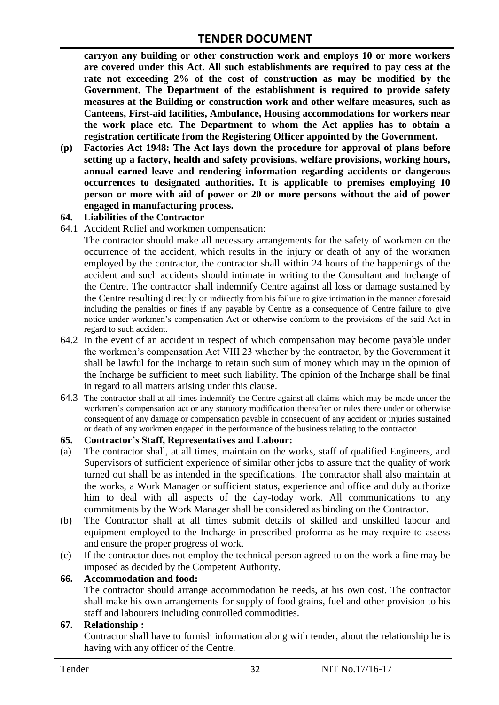**carryon any building or other construction work and employs 10 or more workers are covered under this Act. All such establishments are required to pay cess at the rate not exceeding 2% of the cost of construction as may be modified by the Government. The Department of the establishment is required to provide safety measures at the Building or construction work and other welfare measures, such as Canteens, First-aid facilities, Ambulance, Housing accommodations for workers near the work place etc. The Department to whom the Act applies has to obtain a registration certificate from the Registering Officer appointed by the Government.**

**(p) Factories Act 1948: The Act lays down the procedure for approval of plans before setting up a factory, health and safety provisions, welfare provisions, working hours, annual earned leave and rendering information regarding accidents or dangerous occurrences to designated authorities. It is applicable to premises employing 10 person or more with aid of power or 20 or more persons without the aid of power engaged in manufacturing process.**

#### **64. Liabilities of the Contractor**

64.1 Accident Relief and workmen compensation:

The contractor should make all necessary arrangements for the safety of workmen on the occurrence of the accident, which results in the injury or death of any of the workmen employed by the contractor, the contractor shall within 24 hours of the happenings of the accident and such accidents should intimate in writing to the Consultant and Incharge of the Centre. The contractor shall indemnify Centre against all loss or damage sustained by the Centre resulting directly or indirectly from his failure to give intimation in the manner aforesaid including the penalties or fines if any payable by Centre as a consequence of Centre failure to give notice under workmen"s compensation Act or otherwise conform to the provisions of the said Act in regard to such accident.

- 64.2 In the event of an accident in respect of which compensation may become payable under the workmen"s compensation Act VIII 23 whether by the contractor, by the Government it shall be lawful for the Incharge to retain such sum of money which may in the opinion of the Incharge be sufficient to meet such liability. The opinion of the Incharge shall be final in regard to all matters arising under this clause.
- 64.3 The contractor shall at all times indemnify the Centre against all claims which may be made under the workmen"s compensation act or any statutory modification thereafter or rules there under or otherwise consequent of any damage or compensation payable in consequent of any accident or injuries sustained or death of any workmen engaged in the performance of the business relating to the contractor.

#### **65. Contractor's Staff, Representatives and Labour:**

- (a) The contractor shall, at all times, maintain on the works, staff of qualified Engineers, and Supervisors of sufficient experience of similar other jobs to assure that the quality of work turned out shall be as intended in the specifications. The contractor shall also maintain at the works, a Work Manager or sufficient status, experience and office and duly authorize him to deal with all aspects of the day-today work. All communications to any commitments by the Work Manager shall be considered as binding on the Contractor.
- (b) The Contractor shall at all times submit details of skilled and unskilled labour and equipment employed to the Incharge in prescribed proforma as he may require to assess and ensure the proper progress of work.
- (c) If the contractor does not employ the technical person agreed to on the work a fine may be imposed as decided by the Competent Authority.

#### **66. Accommodation and food:**

The contractor should arrange accommodation he needs, at his own cost. The contractor shall make his own arrangements for supply of food grains, fuel and other provision to his staff and labourers including controlled commodities.

#### **67. Relationship :**

Contractor shall have to furnish information along with tender, about the relationship he is having with any officer of the Centre.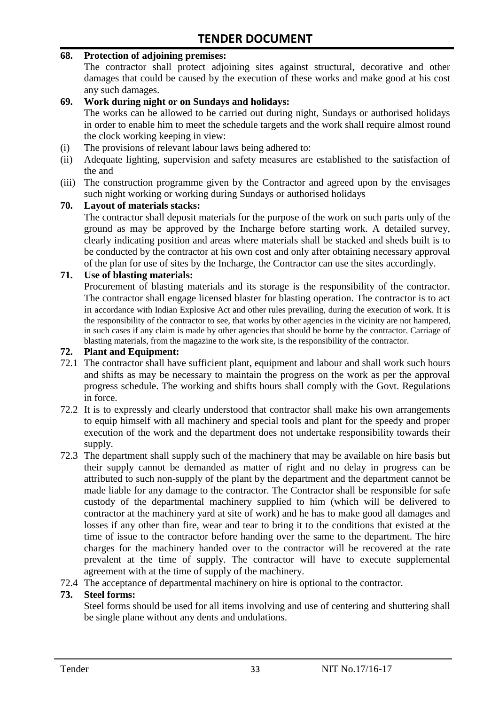#### **68. Protection of adjoining premises:**

The contractor shall protect adjoining sites against structural, decorative and other damages that could be caused by the execution of these works and make good at his cost any such damages.

#### **69. Work during night or on Sundays and holidays:**

The works can be allowed to be carried out during night, Sundays or authorised holidays in order to enable him to meet the schedule targets and the work shall require almost round the clock working keeping in view:

- (i) The provisions of relevant labour laws being adhered to:
- (ii) Adequate lighting, supervision and safety measures are established to the satisfaction of the and
- (iii) The construction programme given by the Contractor and agreed upon by the envisages such night working or working during Sundays or authorised holidays

#### **70. Layout of materials stacks:**

The contractor shall deposit materials for the purpose of the work on such parts only of the ground as may be approved by the Incharge before starting work. A detailed survey, clearly indicating position and areas where materials shall be stacked and sheds built is to be conducted by the contractor at his own cost and only after obtaining necessary approval of the plan for use of sites by the Incharge, the Contractor can use the sites accordingly.

#### **71. Use of blasting materials:**

Procurement of blasting materials and its storage is the responsibility of the contractor. The contractor shall engage licensed blaster for blasting operation. The contractor is to act in accordance with Indian Explosive Act and other rules prevailing, during the execution of work. It is the responsibility of the contractor to see, that works by other agencies in the vicinity are not hampered, in such cases if any claim is made by other agencies that should be borne by the contractor. Carriage of blasting materials, from the magazine to the work site, is the responsibility of the contractor.

#### **72. Plant and Equipment:**

- 72.1 The contractor shall have sufficient plant, equipment and labour and shall work such hours and shifts as may be necessary to maintain the progress on the work as per the approval progress schedule. The working and shifts hours shall comply with the Govt. Regulations in force.
- 72.2 It is to expressly and clearly understood that contractor shall make his own arrangements to equip himself with all machinery and special tools and plant for the speedy and proper execution of the work and the department does not undertake responsibility towards their supply.
- 72.3 The department shall supply such of the machinery that may be available on hire basis but their supply cannot be demanded as matter of right and no delay in progress can be attributed to such non-supply of the plant by the department and the department cannot be made liable for any damage to the contractor. The Contractor shall be responsible for safe custody of the departmental machinery supplied to him (which will be delivered to contractor at the machinery yard at site of work) and he has to make good all damages and losses if any other than fire, wear and tear to bring it to the conditions that existed at the time of issue to the contractor before handing over the same to the department. The hire charges for the machinery handed over to the contractor will be recovered at the rate prevalent at the time of supply. The contractor will have to execute supplemental agreement with at the time of supply of the machinery.
- 72.4 The acceptance of departmental machinery on hire is optional to the contractor.

#### **73. Steel forms:**

Steel forms should be used for all items involving and use of centering and shuttering shall be single plane without any dents and undulations.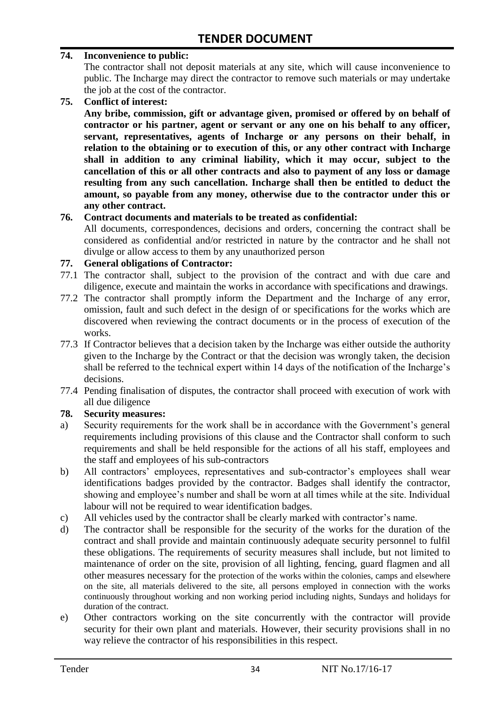#### **74. Inconvenience to public:**

The contractor shall not deposit materials at any site, which will cause inconvenience to public. The Incharge may direct the contractor to remove such materials or may undertake the job at the cost of the contractor.

**75. Conflict of interest:**

**Any bribe, commission, gift or advantage given, promised or offered by on behalf of contractor or his partner, agent or servant or any one on his behalf to any officer, servant, representatives, agents of Incharge or any persons on their behalf, in relation to the obtaining or to execution of this, or any other contract with Incharge shall in addition to any criminal liability, which it may occur, subject to the cancellation of this or all other contracts and also to payment of any loss or damage resulting from any such cancellation. Incharge shall then be entitled to deduct the amount, so payable from any money, otherwise due to the contractor under this or any other contract.**

#### **76. Contract documents and materials to be treated as confidential:**

All documents, correspondences, decisions and orders, concerning the contract shall be considered as confidential and/or restricted in nature by the contractor and he shall not divulge or allow access to them by any unauthorized person

#### **77. General obligations of Contractor:**

- 77.1 The contractor shall, subject to the provision of the contract and with due care and diligence, execute and maintain the works in accordance with specifications and drawings.
- 77.2 The contractor shall promptly inform the Department and the Incharge of any error, omission, fault and such defect in the design of or specifications for the works which are discovered when reviewing the contract documents or in the process of execution of the works.
- 77.3 If Contractor believes that a decision taken by the Incharge was either outside the authority given to the Incharge by the Contract or that the decision was wrongly taken, the decision shall be referred to the technical expert within 14 days of the notification of the Incharge's decisions.
- 77.4 Pending finalisation of disputes, the contractor shall proceed with execution of work with all due diligence

#### **78. Security measures:**

- a) Security requirements for the work shall be in accordance with the Government's general requirements including provisions of this clause and the Contractor shall conform to such requirements and shall be held responsible for the actions of all his staff, employees and the staff and employees of his sub-contractors
- b) All contractors' employees, representatives and sub-contractor's employees shall wear identifications badges provided by the contractor. Badges shall identify the contractor, showing and employee's number and shall be worn at all times while at the site. Individual labour will not be required to wear identification badges.
- c) All vehicles used by the contractor shall be clearly marked with contractor"s name.
- d) The contractor shall be responsible for the security of the works for the duration of the contract and shall provide and maintain continuously adequate security personnel to fulfil these obligations. The requirements of security measures shall include, but not limited to maintenance of order on the site, provision of all lighting, fencing, guard flagmen and all other measures necessary for the protection of the works within the colonies, camps and elsewhere on the site, all materials delivered to the site, all persons employed in connection with the works continuously throughout working and non working period including nights, Sundays and holidays for duration of the contract.
- e) Other contractors working on the site concurrently with the contractor will provide security for their own plant and materials. However, their security provisions shall in no way relieve the contractor of his responsibilities in this respect.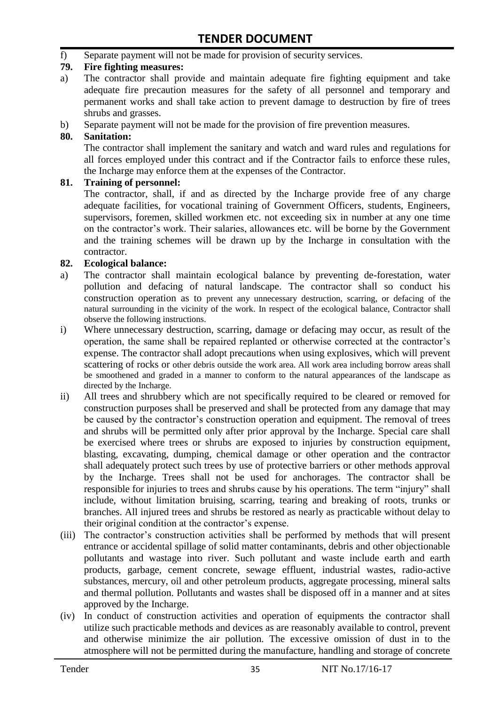f) Separate payment will not be made for provision of security services.

#### **79. Fire fighting measures:**

- a) The contractor shall provide and maintain adequate fire fighting equipment and take adequate fire precaution measures for the safety of all personnel and temporary and permanent works and shall take action to prevent damage to destruction by fire of trees shrubs and grasses.
- b) Separate payment will not be made for the provision of fire prevention measures.

#### **80. Sanitation:**

The contractor shall implement the sanitary and watch and ward rules and regulations for all forces employed under this contract and if the Contractor fails to enforce these rules, the Incharge may enforce them at the expenses of the Contractor.

#### **81. Training of personnel:**

The contractor, shall, if and as directed by the Incharge provide free of any charge adequate facilities, for vocational training of Government Officers, students, Engineers, supervisors, foremen, skilled workmen etc. not exceeding six in number at any one time on the contractor"s work. Their salaries, allowances etc. will be borne by the Government and the training schemes will be drawn up by the Incharge in consultation with the contractor.

#### **82. Ecological balance:**

- a) The contractor shall maintain ecological balance by preventing de-forestation, water pollution and defacing of natural landscape. The contractor shall so conduct his construction operation as to prevent any unnecessary destruction, scarring, or defacing of the natural surrounding in the vicinity of the work. In respect of the ecological balance, Contractor shall observe the following instructions.
- i) Where unnecessary destruction, scarring, damage or defacing may occur, as result of the operation, the same shall be repaired replanted or otherwise corrected at the contractor"s expense. The contractor shall adopt precautions when using explosives, which will prevent scattering of rocks or other debris outside the work area. All work area including borrow areas shall be smoothened and graded in a manner to conform to the natural appearances of the landscape as directed by the Incharge.
- ii) All trees and shrubbery which are not specifically required to be cleared or removed for construction purposes shall be preserved and shall be protected from any damage that may be caused by the contractor's construction operation and equipment. The removal of trees and shrubs will be permitted only after prior approval by the Incharge. Special care shall be exercised where trees or shrubs are exposed to injuries by construction equipment, blasting, excavating, dumping, chemical damage or other operation and the contractor shall adequately protect such trees by use of protective barriers or other methods approval by the Incharge. Trees shall not be used for anchorages. The contractor shall be responsible for injuries to trees and shrubs cause by his operations. The term "injury" shall include, without limitation bruising, scarring, tearing and breaking of roots, trunks or branches. All injured trees and shrubs be restored as nearly as practicable without delay to their original condition at the contractor"s expense.
- (iii) The contractor's construction activities shall be performed by methods that will present entrance or accidental spillage of solid matter contaminants, debris and other objectionable pollutants and wastage into river. Such pollutant and waste include earth and earth products, garbage, cement concrete, sewage effluent, industrial wastes, radio-active substances, mercury, oil and other petroleum products, aggregate processing, mineral salts and thermal pollution. Pollutants and wastes shall be disposed off in a manner and at sites approved by the Incharge.
- (iv) In conduct of construction activities and operation of equipments the contractor shall utilize such practicable methods and devices as are reasonably available to control, prevent and otherwise minimize the air pollution. The excessive omission of dust in to the atmosphere will not be permitted during the manufacture, handling and storage of concrete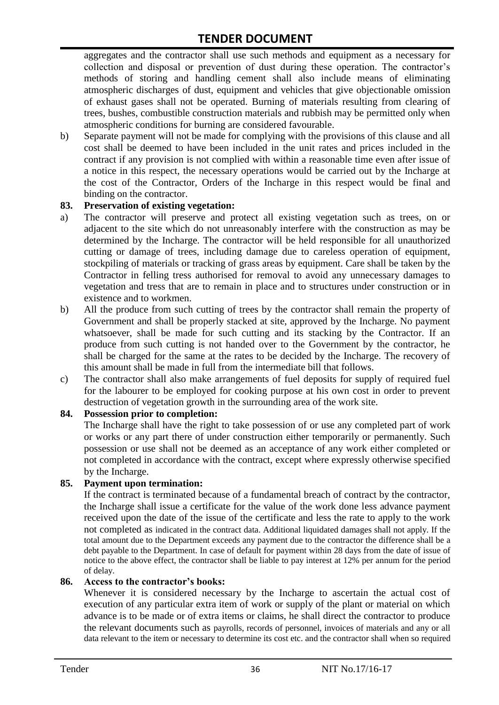aggregates and the contractor shall use such methods and equipment as a necessary for collection and disposal or prevention of dust during these operation. The contractor's methods of storing and handling cement shall also include means of eliminating atmospheric discharges of dust, equipment and vehicles that give objectionable omission of exhaust gases shall not be operated. Burning of materials resulting from clearing of trees, bushes, combustible construction materials and rubbish may be permitted only when atmospheric conditions for burning are considered favourable.

b) Separate payment will not be made for complying with the provisions of this clause and all cost shall be deemed to have been included in the unit rates and prices included in the contract if any provision is not complied with within a reasonable time even after issue of a notice in this respect, the necessary operations would be carried out by the Incharge at the cost of the Contractor, Orders of the Incharge in this respect would be final and binding on the contractor.

#### **83. Preservation of existing vegetation:**

- a) The contractor will preserve and protect all existing vegetation such as trees, on or adjacent to the site which do not unreasonably interfere with the construction as may be determined by the Incharge. The contractor will be held responsible for all unauthorized cutting or damage of trees, including damage due to careless operation of equipment, stockpiling of materials or tracking of grass areas by equipment. Care shall be taken by the Contractor in felling tress authorised for removal to avoid any unnecessary damages to vegetation and tress that are to remain in place and to structures under construction or in existence and to workmen.
- b) All the produce from such cutting of trees by the contractor shall remain the property of Government and shall be properly stacked at site, approved by the Incharge. No payment whatsoever, shall be made for such cutting and its stacking by the Contractor. If an produce from such cutting is not handed over to the Government by the contractor, he shall be charged for the same at the rates to be decided by the Incharge. The recovery of this amount shall be made in full from the intermediate bill that follows.
- c) The contractor shall also make arrangements of fuel deposits for supply of required fuel for the labourer to be employed for cooking purpose at his own cost in order to prevent destruction of vegetation growth in the surrounding area of the work site.

#### **84. Possession prior to completion:**

The Incharge shall have the right to take possession of or use any completed part of work or works or any part there of under construction either temporarily or permanently. Such possession or use shall not be deemed as an acceptance of any work either completed or not completed in accordance with the contract, except where expressly otherwise specified by the Incharge.

#### **85. Payment upon termination:**

If the contract is terminated because of a fundamental breach of contract by the contractor, the Incharge shall issue a certificate for the value of the work done less advance payment received upon the date of the issue of the certificate and less the rate to apply to the work not completed as indicated in the contract data. Additional liquidated damages shall not apply. If the total amount due to the Department exceeds any payment due to the contractor the difference shall be a debt payable to the Department. In case of default for payment within 28 days from the date of issue of notice to the above effect, the contractor shall be liable to pay interest at 12% per annum for the period of delay.

#### **86. Access to the contractor's books:**

Whenever it is considered necessary by the Incharge to ascertain the actual cost of execution of any particular extra item of work or supply of the plant or material on which advance is to be made or of extra items or claims, he shall direct the contractor to produce the relevant documents such as payrolls, records of personnel, invoices of materials and any or all data relevant to the item or necessary to determine its cost etc. and the contractor shall when so required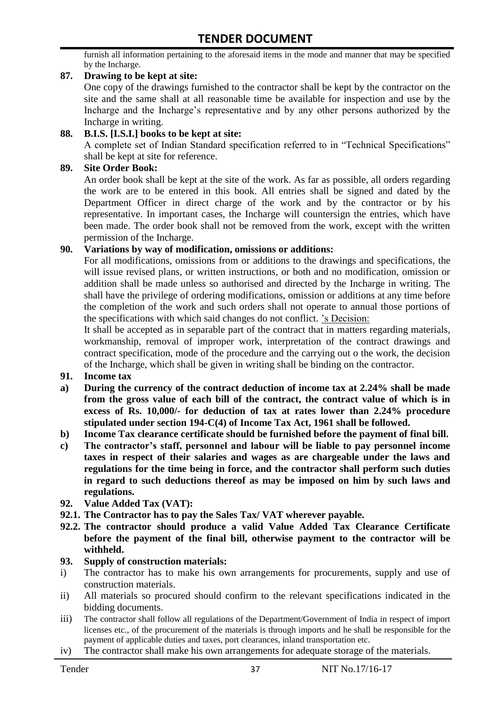furnish all information pertaining to the aforesaid items in the mode and manner that may be specified by the Incharge.

#### **87. Drawing to be kept at site:**

One copy of the drawings furnished to the contractor shall be kept by the contractor on the site and the same shall at all reasonable time be available for inspection and use by the Incharge and the Incharge"s representative and by any other persons authorized by the Incharge in writing.

#### **88. B.I.S. [I.S.I.] books to be kept at site:**

A complete set of Indian Standard specification referred to in "Technical Specifications" shall be kept at site for reference.

#### **89. Site Order Book:**

An order book shall be kept at the site of the work. As far as possible, all orders regarding the work are to be entered in this book. All entries shall be signed and dated by the Department Officer in direct charge of the work and by the contractor or by his representative. In important cases, the Incharge will countersign the entries, which have been made. The order book shall not be removed from the work, except with the written permission of the Incharge.

#### **90. Variations by way of modification, omissions or additions:**

For all modifications, omissions from or additions to the drawings and specifications, the will issue revised plans, or written instructions, or both and no modification, omission or addition shall be made unless so authorised and directed by the Incharge in writing. The shall have the privilege of ordering modifications, omission or additions at any time before the completion of the work and such orders shall not operate to annual those portions of the specifications with which said changes do not conflict. "s Decision:

It shall be accepted as in separable part of the contract that in matters regarding materials, workmanship, removal of improper work, interpretation of the contract drawings and contract specification, mode of the procedure and the carrying out o the work, the decision of the Incharge, which shall be given in writing shall be binding on the contractor.

- **91. Income tax**
- **a) During the currency of the contract deduction of income tax at 2.24% shall be made from the gross value of each bill of the contract, the contract value of which is in excess of Rs. 10,000/- for deduction of tax at rates lower than 2.24% procedure stipulated under section 194-C(4) of Income Tax Act, 1961 shall be followed.**
- **b) Income Tax clearance certificate should be furnished before the payment of final bill.**
- **c) The contractor's staff, personnel and labour will be liable to pay personnel income taxes in respect of their salaries and wages as are chargeable under the laws and regulations for the time being in force, and the contractor shall perform such duties in regard to such deductions thereof as may be imposed on him by such laws and regulations.**
- **92. Value Added Tax (VAT):**
- **92.1. The Contractor has to pay the Sales Tax/ VAT wherever payable.**
- **92.2. The contractor should produce a valid Value Added Tax Clearance Certificate before the payment of the final bill, otherwise payment to the contractor will be withheld.**

#### **93. Supply of construction materials:**

- i) The contractor has to make his own arrangements for procurements, supply and use of construction materials.
- ii) All materials so procured should confirm to the relevant specifications indicated in the bidding documents.
- iii) The contractor shall follow all regulations of the Department/Government of India in respect of import licenses etc., of the procurement of the materials is through imports and he shall be responsible for the payment of applicable duties and taxes, port clearances, inland transportation etc.
- iv) The contractor shall make his own arrangements for adequate storage of the materials.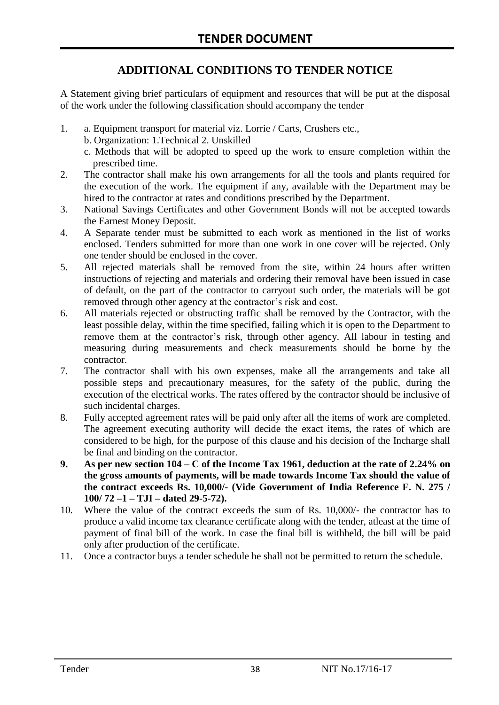# **ADDITIONAL CONDITIONS TO TENDER NOTICE**

A Statement giving brief particulars of equipment and resources that will be put at the disposal of the work under the following classification should accompany the tender

- 1. a. Equipment transport for material viz. Lorrie / Carts, Crushers etc.,
	- b. Organization: 1.Technical 2. Unskilled
	- c. Methods that will be adopted to speed up the work to ensure completion within the prescribed time.
- 2. The contractor shall make his own arrangements for all the tools and plants required for the execution of the work. The equipment if any, available with the Department may be hired to the contractor at rates and conditions prescribed by the Department.
- 3. National Savings Certificates and other Government Bonds will not be accepted towards the Earnest Money Deposit.
- 4. A Separate tender must be submitted to each work as mentioned in the list of works enclosed. Tenders submitted for more than one work in one cover will be rejected. Only one tender should be enclosed in the cover.
- 5. All rejected materials shall be removed from the site, within 24 hours after written instructions of rejecting and materials and ordering their removal have been issued in case of default, on the part of the contractor to carryout such order, the materials will be got removed through other agency at the contractor's risk and cost.
- 6. All materials rejected or obstructing traffic shall be removed by the Contractor, with the least possible delay, within the time specified, failing which it is open to the Department to remove them at the contractor's risk, through other agency. All labour in testing and measuring during measurements and check measurements should be borne by the contractor.
- 7. The contractor shall with his own expenses, make all the arrangements and take all possible steps and precautionary measures, for the safety of the public, during the execution of the electrical works. The rates offered by the contractor should be inclusive of such incidental charges.
- 8. Fully accepted agreement rates will be paid only after all the items of work are completed. The agreement executing authority will decide the exact items, the rates of which are considered to be high, for the purpose of this clause and his decision of the Incharge shall be final and binding on the contractor.
- **9. As per new section 104 – C of the Income Tax 1961, deduction at the rate of 2.24% on the gross amounts of payments, will be made towards Income Tax should the value of the contract exceeds Rs. 10,000/- (Vide Government of India Reference F. N. 275 / 100/ 72 –1 – TJI – dated 29-5-72).**
- 10. Where the value of the contract exceeds the sum of Rs. 10,000/- the contractor has to produce a valid income tax clearance certificate along with the tender, atleast at the time of payment of final bill of the work. In case the final bill is withheld, the bill will be paid only after production of the certificate.
- 11. Once a contractor buys a tender schedule he shall not be permitted to return the schedule.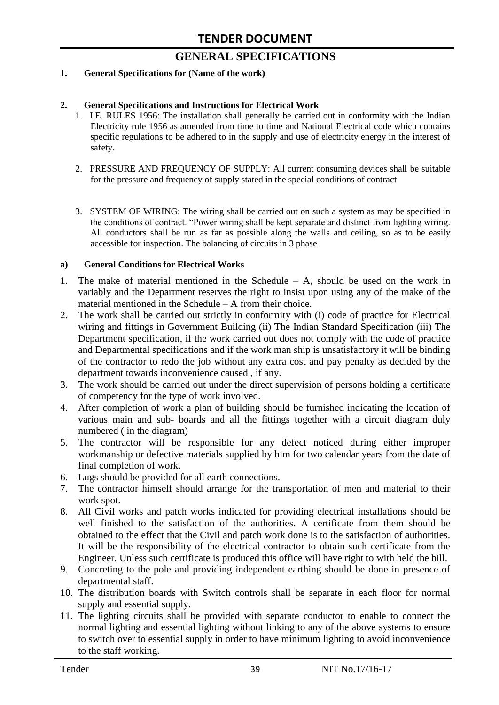# **GENERAL SPECIFICATIONS**

#### **1. General Specifications for (Name of the work)**

#### **2. General Specifications and Instructions for Electrical Work**

- 1. I.E. RULES 1956: The installation shall generally be carried out in conformity with the Indian Electricity rule 1956 as amended from time to time and National Electrical code which contains specific regulations to be adhered to in the supply and use of electricity energy in the interest of safety.
- 2. PRESSURE AND FREQUENCY OF SUPPLY: All current consuming devices shall be suitable for the pressure and frequency of supply stated in the special conditions of contract
- 3. SYSTEM OF WIRING: The wiring shall be carried out on such a system as may be specified in the conditions of contract. "Power wiring shall be kept separate and distinct from lighting wiring. All conductors shall be run as far as possible along the walls and ceiling, so as to be easily accessible for inspection. The balancing of circuits in 3 phase

#### **a) General Conditions for Electrical Works**

- 1. The make of material mentioned in the Schedule A, should be used on the work in variably and the Department reserves the right to insist upon using any of the make of the material mentioned in the Schedule – A from their choice.
- 2. The work shall be carried out strictly in conformity with (i) code of practice for Electrical wiring and fittings in Government Building (ii) The Indian Standard Specification (iii) The Department specification, if the work carried out does not comply with the code of practice and Departmental specifications and if the work man ship is unsatisfactory it will be binding of the contractor to redo the job without any extra cost and pay penalty as decided by the department towards inconvenience caused , if any.
- 3. The work should be carried out under the direct supervision of persons holding a certificate of competency for the type of work involved.
- 4. After completion of work a plan of building should be furnished indicating the location of various main and sub- boards and all the fittings together with a circuit diagram duly numbered ( in the diagram)
- 5. The contractor will be responsible for any defect noticed during either improper workmanship or defective materials supplied by him for two calendar years from the date of final completion of work.
- 6. Lugs should be provided for all earth connections.
- 7. The contractor himself should arrange for the transportation of men and material to their work spot.
- 8. All Civil works and patch works indicated for providing electrical installations should be well finished to the satisfaction of the authorities. A certificate from them should be obtained to the effect that the Civil and patch work done is to the satisfaction of authorities. It will be the responsibility of the electrical contractor to obtain such certificate from the Engineer. Unless such certificate is produced this office will have right to with held the bill.
- 9. Concreting to the pole and providing independent earthing should be done in presence of departmental staff.
- 10. The distribution boards with Switch controls shall be separate in each floor for normal supply and essential supply.
- 11. The lighting circuits shall be provided with separate conductor to enable to connect the normal lighting and essential lighting without linking to any of the above systems to ensure to switch over to essential supply in order to have minimum lighting to avoid inconvenience to the staff working.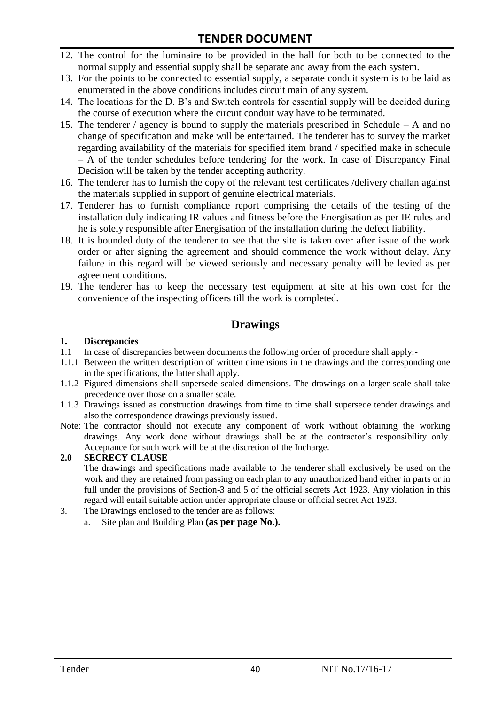- 12. The control for the luminaire to be provided in the hall for both to be connected to the normal supply and essential supply shall be separate and away from the each system.
- 13. For the points to be connected to essential supply, a separate conduit system is to be laid as enumerated in the above conditions includes circuit main of any system.
- 14. The locations for the D. B"s and Switch controls for essential supply will be decided during the course of execution where the circuit conduit way have to be terminated.
- 15. The tenderer / agency is bound to supply the materials prescribed in Schedule A and no change of specification and make will be entertained. The tenderer has to survey the market regarding availability of the materials for specified item brand / specified make in schedule – A of the tender schedules before tendering for the work. In case of Discrepancy Final Decision will be taken by the tender accepting authority.
- 16. The tenderer has to furnish the copy of the relevant test certificates /delivery challan against the materials supplied in support of genuine electrical materials.
- 17. Tenderer has to furnish compliance report comprising the details of the testing of the installation duly indicating IR values and fitness before the Energisation as per IE rules and he is solely responsible after Energisation of the installation during the defect liability.
- 18. It is bounded duty of the tenderer to see that the site is taken over after issue of the work order or after signing the agreement and should commence the work without delay. Any failure in this regard will be viewed seriously and necessary penalty will be levied as per agreement conditions.
- 19. The tenderer has to keep the necessary test equipment at site at his own cost for the convenience of the inspecting officers till the work is completed.

#### **Drawings**

#### **1. Discrepancies**

- 1.1 In case of discrepancies between documents the following order of procedure shall apply:-
- 1.1.1 Between the written description of written dimensions in the drawings and the corresponding one in the specifications, the latter shall apply.
- 1.1.2 Figured dimensions shall supersede scaled dimensions. The drawings on a larger scale shall take precedence over those on a smaller scale.
- 1.1.3 Drawings issued as construction drawings from time to time shall supersede tender drawings and also the correspondence drawings previously issued.
- Note: The contractor should not execute any component of work without obtaining the working drawings. Any work done without drawings shall be at the contractor"s responsibility only. Acceptance for such work will be at the discretion of the Incharge.

#### **2.0 SECRECY CLAUSE**

The drawings and specifications made available to the tenderer shall exclusively be used on the work and they are retained from passing on each plan to any unauthorized hand either in parts or in full under the provisions of Section-3 and 5 of the official secrets Act 1923. Any violation in this regard will entail suitable action under appropriate clause or official secret Act 1923.

- 3. The Drawings enclosed to the tender are as follows:
	- a. Site plan and Building Plan **(as per page No.).**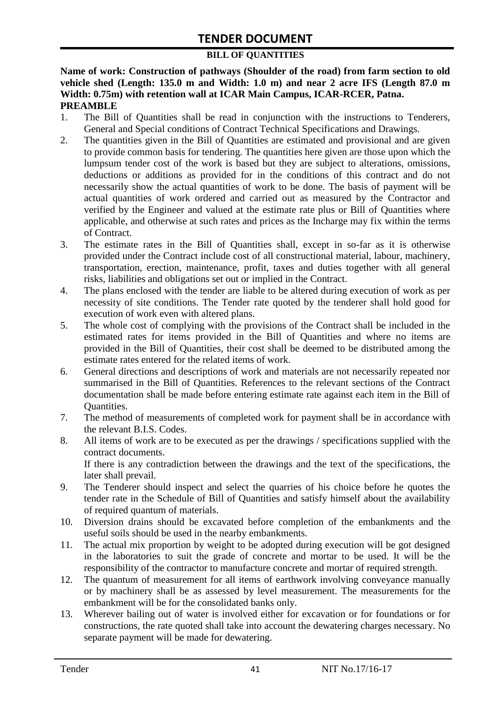#### **BILL OF QUANTITIES**

**Name of work: Construction of pathways (Shoulder of the road) from farm section to old vehicle shed (Length: 135.0 m and Width: 1.0 m) and near 2 acre IFS (Length 87.0 m Width: 0.75m) with retention wall at ICAR Main Campus, ICAR-RCER, Patna. PREAMBLE**

- 1. The Bill of Quantities shall be read in conjunction with the instructions to Tenderers, General and Special conditions of Contract Technical Specifications and Drawings.
- 2. The quantities given in the Bill of Quantities are estimated and provisional and are given to provide common basis for tendering. The quantities here given are those upon which the lumpsum tender cost of the work is based but they are subject to alterations, omissions, deductions or additions as provided for in the conditions of this contract and do not necessarily show the actual quantities of work to be done. The basis of payment will be actual quantities of work ordered and carried out as measured by the Contractor and verified by the Engineer and valued at the estimate rate plus or Bill of Quantities where applicable, and otherwise at such rates and prices as the Incharge may fix within the terms of Contract.
- 3. The estimate rates in the Bill of Quantities shall, except in so-far as it is otherwise provided under the Contract include cost of all constructional material, labour, machinery, transportation, erection, maintenance, profit, taxes and duties together with all general risks, liabilities and obligations set out or implied in the Contract.
- 4. The plans enclosed with the tender are liable to be altered during execution of work as per necessity of site conditions. The Tender rate quoted by the tenderer shall hold good for execution of work even with altered plans.
- 5. The whole cost of complying with the provisions of the Contract shall be included in the estimated rates for items provided in the Bill of Quantities and where no items are provided in the Bill of Quantities, their cost shall be deemed to be distributed among the estimate rates entered for the related items of work.
- 6. General directions and descriptions of work and materials are not necessarily repeated nor summarised in the Bill of Quantities. References to the relevant sections of the Contract documentation shall be made before entering estimate rate against each item in the Bill of Quantities.
- 7. The method of measurements of completed work for payment shall be in accordance with the relevant B.I.S. Codes.
- 8. All items of work are to be executed as per the drawings / specifications supplied with the contract documents. If there is any contradiction between the drawings and the text of the specifications, the later shall prevail.
- 9. The Tenderer should inspect and select the quarries of his choice before he quotes the tender rate in the Schedule of Bill of Quantities and satisfy himself about the availability of required quantum of materials.
- 10. Diversion drains should be excavated before completion of the embankments and the useful soils should be used in the nearby embankments.
- 11. The actual mix proportion by weight to be adopted during execution will be got designed in the laboratories to suit the grade of concrete and mortar to be used. It will be the responsibility of the contractor to manufacture concrete and mortar of required strength.
- 12. The quantum of measurement for all items of earthwork involving conveyance manually or by machinery shall be as assessed by level measurement. The measurements for the embankment will be for the consolidated banks only.
- 13. Wherever bailing out of water is involved either for excavation or for foundations or for constructions, the rate quoted shall take into account the dewatering charges necessary. No separate payment will be made for dewatering.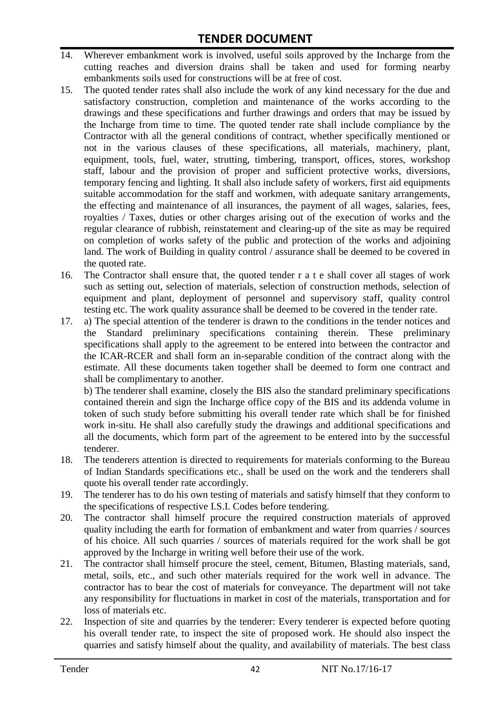- 14. Wherever embankment work is involved, useful soils approved by the Incharge from the cutting reaches and diversion drains shall be taken and used for forming nearby embankments soils used for constructions will be at free of cost.
- 15. The quoted tender rates shall also include the work of any kind necessary for the due and satisfactory construction, completion and maintenance of the works according to the drawings and these specifications and further drawings and orders that may be issued by the Incharge from time to time. The quoted tender rate shall include compliance by the Contractor with all the general conditions of contract, whether specifically mentioned or not in the various clauses of these specifications, all materials, machinery, plant, equipment, tools, fuel, water, strutting, timbering, transport, offices, stores, workshop staff, labour and the provision of proper and sufficient protective works, diversions, temporary fencing and lighting. It shall also include safety of workers, first aid equipments suitable accommodation for the staff and workmen, with adequate sanitary arrangements, the effecting and maintenance of all insurances, the payment of all wages, salaries, fees, royalties / Taxes, duties or other charges arising out of the execution of works and the regular clearance of rubbish, reinstatement and clearing-up of the site as may be required on completion of works safety of the public and protection of the works and adjoining land. The work of Building in quality control / assurance shall be deemed to be covered in the quoted rate.
- 16. The Contractor shall ensure that, the quoted tender r a t e shall cover all stages of work such as setting out, selection of materials, selection of construction methods, selection of equipment and plant, deployment of personnel and supervisory staff, quality control testing etc. The work quality assurance shall be deemed to be covered in the tender rate.
- 17. a) The special attention of the tenderer is drawn to the conditions in the tender notices and the Standard preliminary specifications containing therein. These preliminary specifications shall apply to the agreement to be entered into between the contractor and the ICAR-RCER and shall form an in-separable condition of the contract along with the estimate. All these documents taken together shall be deemed to form one contract and shall be complimentary to another.

b) The tenderer shall examine, closely the BIS also the standard preliminary specifications contained therein and sign the Incharge office copy of the BIS and its addenda volume in token of such study before submitting his overall tender rate which shall be for finished work in-situ. He shall also carefully study the drawings and additional specifications and all the documents, which form part of the agreement to be entered into by the successful tenderer.

- 18. The tenderers attention is directed to requirements for materials conforming to the Bureau of Indian Standards specifications etc., shall be used on the work and the tenderers shall quote his overall tender rate accordingly.
- 19. The tenderer has to do his own testing of materials and satisfy himself that they conform to the specifications of respective I.S.I. Codes before tendering.
- 20. The contractor shall himself procure the required construction materials of approved quality including the earth for formation of embankment and water from quarries / sources of his choice. All such quarries / sources of materials required for the work shall be got approved by the Incharge in writing well before their use of the work.
- 21. The contractor shall himself procure the steel, cement, Bitumen, Blasting materials, sand, metal, soils, etc., and such other materials required for the work well in advance. The contractor has to bear the cost of materials for conveyance. The department will not take any responsibility for fluctuations in market in cost of the materials, transportation and for loss of materials etc.
- 22. Inspection of site and quarries by the tenderer: Every tenderer is expected before quoting his overall tender rate, to inspect the site of proposed work. He should also inspect the quarries and satisfy himself about the quality, and availability of materials. The best class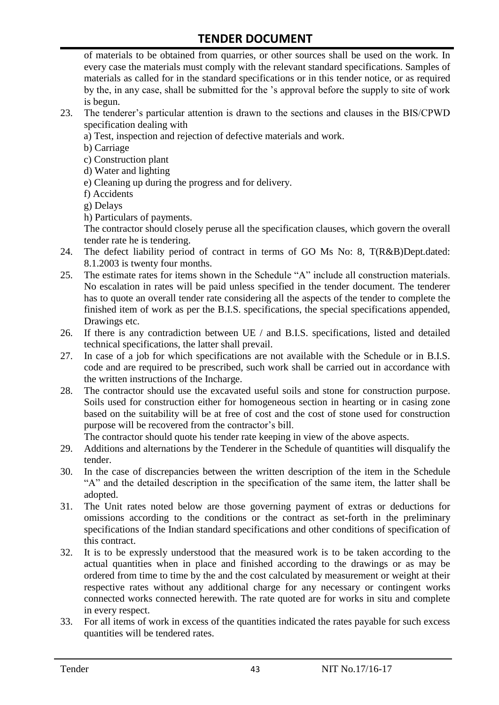of materials to be obtained from quarries, or other sources shall be used on the work. In every case the materials must comply with the relevant standard specifications. Samples of materials as called for in the standard specifications or in this tender notice, or as required by the, in any case, shall be submitted for the "s approval before the supply to site of work is begun.

- 23. The tenderer"s particular attention is drawn to the sections and clauses in the BIS/CPWD specification dealing with
	- a) Test, inspection and rejection of defective materials and work.
	- b) Carriage
	- c) Construction plant
	- d) Water and lighting
	- e) Cleaning up during the progress and for delivery.
	- f) Accidents
	- g) Delays
	- h) Particulars of payments.

The contractor should closely peruse all the specification clauses, which govern the overall tender rate he is tendering.

- 24. The defect liability period of contract in terms of GO Ms No: 8, T(R&B)Dept.dated: 8.1.2003 is twenty four months.
- 25. The estimate rates for items shown in the Schedule "A" include all construction materials. No escalation in rates will be paid unless specified in the tender document. The tenderer has to quote an overall tender rate considering all the aspects of the tender to complete the finished item of work as per the B.I.S. specifications, the special specifications appended, Drawings etc.
- 26. If there is any contradiction between UE / and B.I.S. specifications, listed and detailed technical specifications, the latter shall prevail.
- 27. In case of a job for which specifications are not available with the Schedule or in B.I.S. code and are required to be prescribed, such work shall be carried out in accordance with the written instructions of the Incharge.
- 28. The contractor should use the excavated useful soils and stone for construction purpose. Soils used for construction either for homogeneous section in hearting or in casing zone based on the suitability will be at free of cost and the cost of stone used for construction purpose will be recovered from the contractor's bill.

The contractor should quote his tender rate keeping in view of the above aspects.

- 29. Additions and alternations by the Tenderer in the Schedule of quantities will disqualify the tender.
- 30. In the case of discrepancies between the written description of the item in the Schedule "A" and the detailed description in the specification of the same item, the latter shall be adopted.
- 31. The Unit rates noted below are those governing payment of extras or deductions for omissions according to the conditions or the contract as set-forth in the preliminary specifications of the Indian standard specifications and other conditions of specification of this contract.
- 32. It is to be expressly understood that the measured work is to be taken according to the actual quantities when in place and finished according to the drawings or as may be ordered from time to time by the and the cost calculated by measurement or weight at their respective rates without any additional charge for any necessary or contingent works connected works connected herewith. The rate quoted are for works in situ and complete in every respect.
- 33. For all items of work in excess of the quantities indicated the rates payable for such excess quantities will be tendered rates.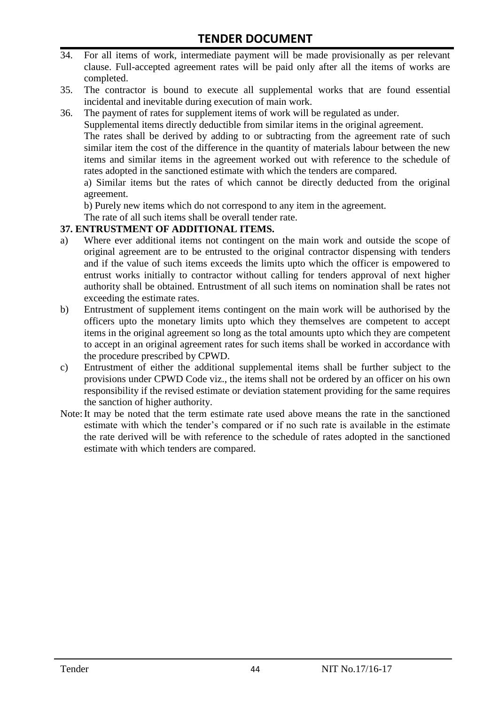- 34. For all items of work, intermediate payment will be made provisionally as per relevant clause. Full-accepted agreement rates will be paid only after all the items of works are completed.
- 35. The contractor is bound to execute all supplemental works that are found essential incidental and inevitable during execution of main work.
- 36. The payment of rates for supplement items of work will be regulated as under.

Supplemental items directly deductible from similar items in the original agreement.

The rates shall be derived by adding to or subtracting from the agreement rate of such similar item the cost of the difference in the quantity of materials labour between the new items and similar items in the agreement worked out with reference to the schedule of rates adopted in the sanctioned estimate with which the tenders are compared.

a) Similar items but the rates of which cannot be directly deducted from the original agreement.

b) Purely new items which do not correspond to any item in the agreement.

The rate of all such items shall be overall tender rate.

#### **37. ENTRUSTMENT OF ADDITIONAL ITEMS.**

- a) Where ever additional items not contingent on the main work and outside the scope of original agreement are to be entrusted to the original contractor dispensing with tenders and if the value of such items exceeds the limits upto which the officer is empowered to entrust works initially to contractor without calling for tenders approval of next higher authority shall be obtained. Entrustment of all such items on nomination shall be rates not exceeding the estimate rates.
- b) Entrustment of supplement items contingent on the main work will be authorised by the officers upto the monetary limits upto which they themselves are competent to accept items in the original agreement so long as the total amounts upto which they are competent to accept in an original agreement rates for such items shall be worked in accordance with the procedure prescribed by CPWD.
- c) Entrustment of either the additional supplemental items shall be further subject to the provisions under CPWD Code viz., the items shall not be ordered by an officer on his own responsibility if the revised estimate or deviation statement providing for the same requires the sanction of higher authority.
- Note:It may be noted that the term estimate rate used above means the rate in the sanctioned estimate with which the tender"s compared or if no such rate is available in the estimate the rate derived will be with reference to the schedule of rates adopted in the sanctioned estimate with which tenders are compared.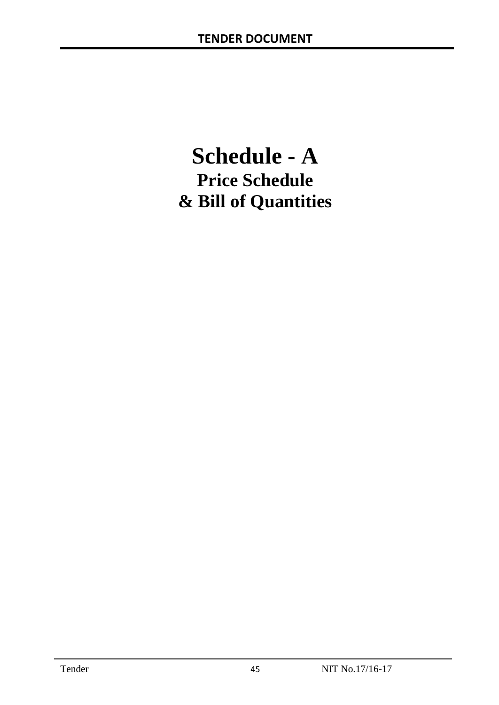# **Schedule - A Price Schedule & Bill of Quantities**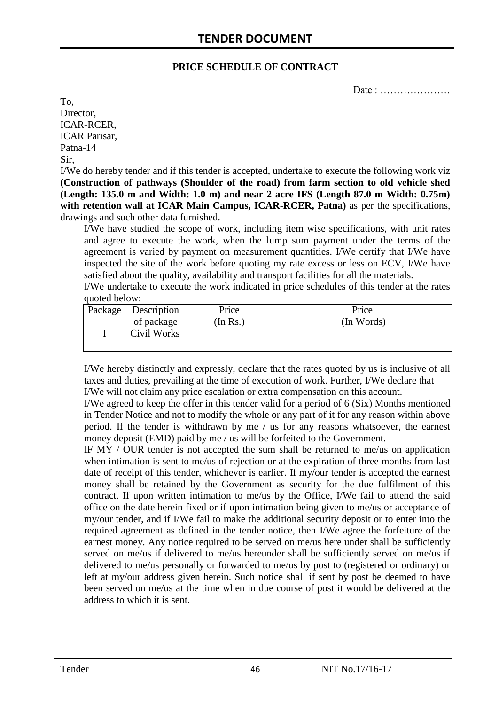#### **PRICE SCHEDULE OF CONTRACT**

Date : …………………

To, Director, ICAR-RCER, ICAR Parisar, Patna-14 Sir,

I/We do hereby tender and if this tender is accepted, undertake to execute the following work viz **(Construction of pathways (Shoulder of the road) from farm section to old vehicle shed (Length: 135.0 m and Width: 1.0 m) and near 2 acre IFS (Length 87.0 m Width: 0.75m) with retention wall at ICAR Main Campus, ICAR-RCER, Patna)** as per the specifications, drawings and such other data furnished.

I/We have studied the scope of work, including item wise specifications, with unit rates and agree to execute the work, when the lump sum payment under the terms of the agreement is varied by payment on measurement quantities. I/We certify that I/We have inspected the site of the work before quoting my rate excess or less on ECV, I/We have satisfied about the quality, availability and transport facilities for all the materials.

I/We undertake to execute the work indicated in price schedules of this tender at the rates quoted below:

| Package   Description | Price    | Price      |
|-----------------------|----------|------------|
| of package            | In $Rs.$ | (In Words) |
| Civil Works           |          |            |

I/We hereby distinctly and expressly, declare that the rates quoted by us is inclusive of all taxes and duties, prevailing at the time of execution of work. Further, I/We declare that I/We will not claim any price escalation or extra compensation on this account.

I/We agreed to keep the offer in this tender valid for a period of 6 (Six) Months mentioned in Tender Notice and not to modify the whole or any part of it for any reason within above period. If the tender is withdrawn by me / us for any reasons whatsoever, the earnest money deposit (EMD) paid by me / us will be forfeited to the Government.

IF MY / OUR tender is not accepted the sum shall be returned to me/us on application when intimation is sent to me/us of rejection or at the expiration of three months from last date of receipt of this tender, whichever is earlier. If my/our tender is accepted the earnest money shall be retained by the Government as security for the due fulfilment of this contract. If upon written intimation to me/us by the Office, I/We fail to attend the said office on the date herein fixed or if upon intimation being given to me/us or acceptance of my/our tender, and if I/We fail to make the additional security deposit or to enter into the required agreement as defined in the tender notice, then I/We agree the forfeiture of the earnest money. Any notice required to be served on me/us here under shall be sufficiently served on me/us if delivered to me/us hereunder shall be sufficiently served on me/us if delivered to me/us personally or forwarded to me/us by post to (registered or ordinary) or left at my/our address given herein. Such notice shall if sent by post be deemed to have been served on me/us at the time when in due course of post it would be delivered at the address to which it is sent.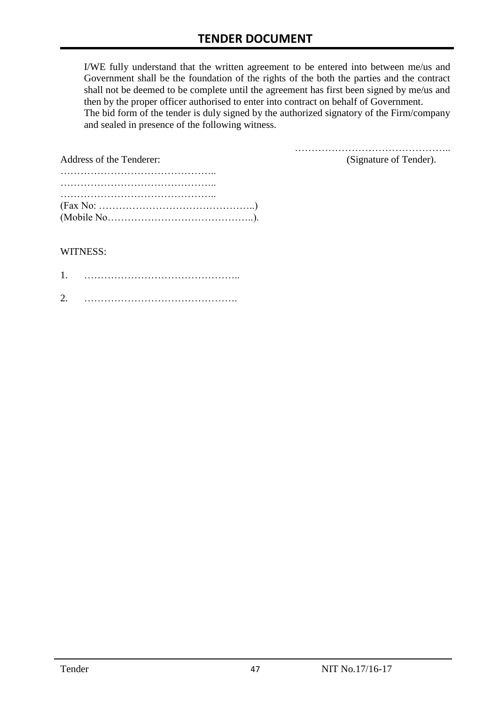I/WE fully understand that the written agreement to be entered into between me/us and Government shall be the foundation of the rights of the both the parties and the contract shall not be deemed to be complete until the agreement has first been signed by me/us and then by the proper officer authorised to enter into contract on behalf of Government. The bid form of the tender is duly signed by the authorized signatory of the Firm/company and sealed in presence of the following witness.

| Address of the Tenderer:                                                                  | (Signature of Tender). |
|-------------------------------------------------------------------------------------------|------------------------|
|                                                                                           |                        |
|                                                                                           |                        |
|                                                                                           |                        |
| $(Fax No: \dots \dots \dots \dots \dots \dots \dots \dots \dots \dots \dots \dots \dots)$ |                        |
|                                                                                           |                        |

#### WITNESS:

| ⌒ |  |
|---|--|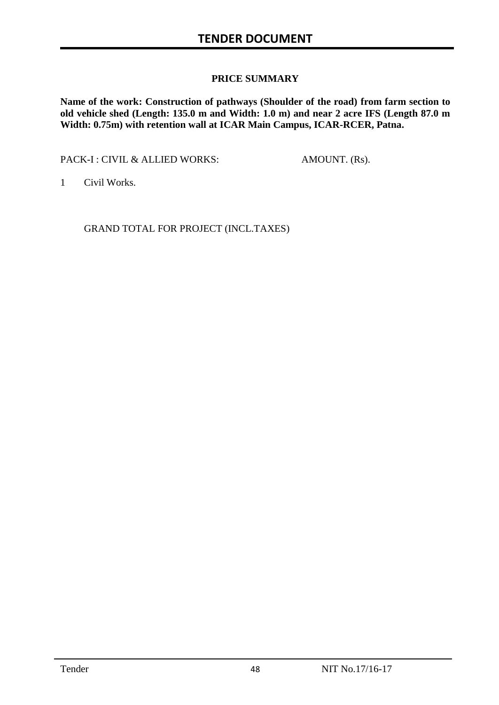#### **PRICE SUMMARY**

**Name of the work: Construction of pathways (Shoulder of the road) from farm section to old vehicle shed (Length: 135.0 m and Width: 1.0 m) and near 2 acre IFS (Length 87.0 m Width: 0.75m) with retention wall at ICAR Main Campus, ICAR-RCER, Patna.**

PACK-I : CIVIL & ALLIED WORKS: AMOUNT. (Rs).

1 Civil Works.

GRAND TOTAL FOR PROJECT (INCL.TAXES)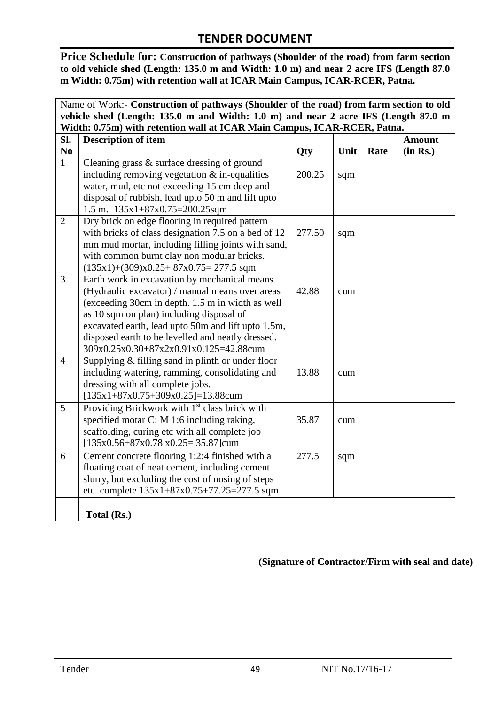**Price Schedule for: Construction of pathways (Shoulder of the road) from farm section to old vehicle shed (Length: 135.0 m and Width: 1.0 m) and near 2 acre IFS (Length 87.0 m Width: 0.75m) with retention wall at ICAR Main Campus, ICAR-RCER, Patna.**

| Name of Work:- Construction of pathways (Shoulder of the road) from farm section to old |                                                                                    |            |      |      |               |  |
|-----------------------------------------------------------------------------------------|------------------------------------------------------------------------------------|------------|------|------|---------------|--|
|                                                                                         | vehicle shed (Length: 135.0 m and Width: 1.0 m) and near 2 acre IFS (Length 87.0 m |            |      |      |               |  |
|                                                                                         | Width: 0.75m) with retention wall at ICAR Main Campus, ICAR-RCER, Patna.           |            |      |      |               |  |
| Sl.                                                                                     | <b>Description of item</b>                                                         |            |      |      | <b>Amount</b> |  |
| N <sub>0</sub>                                                                          |                                                                                    | <b>Qty</b> | Unit | Rate | (in Rs.)      |  |
| $\overline{1}$                                                                          | Cleaning grass & surface dressing of ground                                        |            |      |      |               |  |
|                                                                                         | including removing vegetation $&$ in-equalities                                    | 200.25     | sqm  |      |               |  |
|                                                                                         | water, mud, etc not exceeding 15 cm deep and                                       |            |      |      |               |  |
|                                                                                         | disposal of rubbish, lead upto 50 m and lift upto                                  |            |      |      |               |  |
|                                                                                         | 1.5 m. $135x1+87x0.75=200.25$ sqm                                                  |            |      |      |               |  |
| $\overline{2}$                                                                          | Dry brick on edge flooring in required pattern                                     |            |      |      |               |  |
|                                                                                         | with bricks of class designation 7.5 on a bed of 12                                | 277.50     | sqm  |      |               |  |
|                                                                                         | mm mud mortar, including filling joints with sand,                                 |            |      |      |               |  |
|                                                                                         | with common burnt clay non modular bricks.                                         |            |      |      |               |  |
|                                                                                         | $(135x1)+(309)x0.25+87x0.75=277.5$ sqm                                             |            |      |      |               |  |
| $\overline{3}$                                                                          | Earth work in excavation by mechanical means                                       |            |      |      |               |  |
|                                                                                         | (Hydraulic excavator) / manual means over areas                                    | 42.88      | cum  |      |               |  |
|                                                                                         | (exceeding 30cm in depth. 1.5 m in width as well                                   |            |      |      |               |  |
|                                                                                         | as 10 sqm on plan) including disposal of                                           |            |      |      |               |  |
|                                                                                         | excavated earth, lead upto 50m and lift upto 1.5m,                                 |            |      |      |               |  |
|                                                                                         | disposed earth to be levelled and neatly dressed.                                  |            |      |      |               |  |
|                                                                                         | 309x0.25x0.30+87x2x0.91x0.125=42.88cum                                             |            |      |      |               |  |
| $\overline{4}$                                                                          | Supplying & filling sand in plinth or under floor                                  |            |      |      |               |  |
|                                                                                         | including watering, ramming, consolidating and                                     | 13.88      | cum  |      |               |  |
|                                                                                         | dressing with all complete jobs.                                                   |            |      |      |               |  |
|                                                                                         | $[135x1+87x0.75+309x0.25]=13.88$ cum                                               |            |      |      |               |  |
| 5                                                                                       | Providing Brickwork with 1 <sup>st</sup> class brick with                          |            |      |      |               |  |
|                                                                                         | specified motar C: M 1:6 including raking,                                         | 35.87      | cum  |      |               |  |
|                                                                                         | scaffolding, curing etc with all complete job                                      |            |      |      |               |  |
|                                                                                         | $[135x0.56+87x0.78 x0.25=35.87]$ cum                                               |            |      |      |               |  |
| 6                                                                                       | Cement concrete flooring 1:2:4 finished with a                                     | 277.5      | sqm  |      |               |  |
|                                                                                         | floating coat of neat cement, including cement                                     |            |      |      |               |  |
|                                                                                         | slurry, but excluding the cost of nosing of steps                                  |            |      |      |               |  |
|                                                                                         | etc. complete 135x1+87x0.75+77.25=277.5 sqm                                        |            |      |      |               |  |
|                                                                                         |                                                                                    |            |      |      |               |  |
|                                                                                         | Total (Rs.)                                                                        |            |      |      |               |  |

#### **(Signature of Contractor/Firm with seal and date)**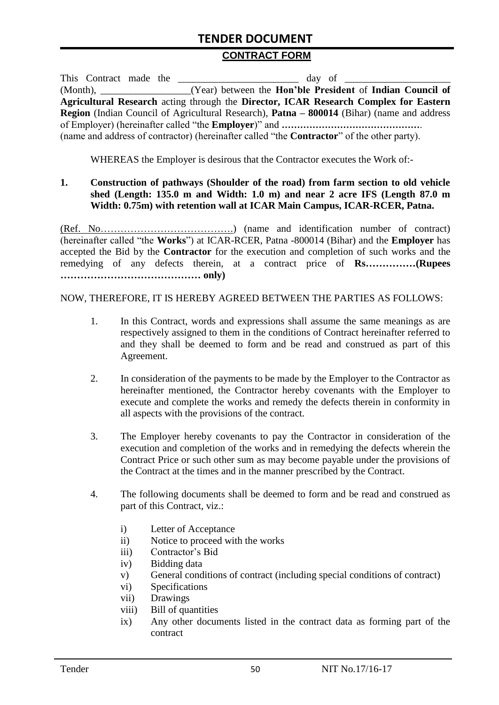#### **CONTRACT FORM**

| This Contract made the |  |                                                                                                          |
|------------------------|--|----------------------------------------------------------------------------------------------------------|
|                        |  | (Month), _______________(Year) between the <b>Hon'ble President</b> of <b>Indian Council of</b>          |
|                        |  | Agricultural Research acting through the Director, ICAR Research Complex for Eastern                     |
|                        |  | <b>Region</b> (Indian Council of Agricultural Research), <b>Patna – 800014</b> (Bihar) (name and address |
|                        |  |                                                                                                          |
|                        |  | (name and address of contractor) (hereinafter called "the <b>Contractor</b> " of the other party).       |

WHEREAS the Employer is desirous that the Contractor executes the Work of:-

#### **1. Construction of pathways (Shoulder of the road) from farm section to old vehicle shed (Length: 135.0 m and Width: 1.0 m) and near 2 acre IFS (Length 87.0 m Width: 0.75m) with retention wall at ICAR Main Campus, ICAR-RCER, Patna.**

(Ref. No………………………………….) (name and identification number of contract) (hereinafter called "the **Works**") at ICAR-RCER, Patna -800014 (Bihar) and the **Employer** has accepted the Bid by the **Contractor** for the execution and completion of such works and the remedying of any defects therein, at a contract price of **Rs……………(Rupees …………………………………… only)**

NOW, THEREFORE, IT IS HEREBY AGREED BETWEEN THE PARTIES AS FOLLOWS:

- 1. In this Contract, words and expressions shall assume the same meanings as are respectively assigned to them in the conditions of Contract hereinafter referred to and they shall be deemed to form and be read and construed as part of this Agreement.
- 2. In consideration of the payments to be made by the Employer to the Contractor as hereinafter mentioned, the Contractor hereby covenants with the Employer to execute and complete the works and remedy the defects therein in conformity in all aspects with the provisions of the contract.
- 3. The Employer hereby covenants to pay the Contractor in consideration of the execution and completion of the works and in remedying the defects wherein the Contract Price or such other sum as may become payable under the provisions of the Contract at the times and in the manner prescribed by the Contract.
- 4. The following documents shall be deemed to form and be read and construed as part of this Contract, viz.:
	- i) Letter of Acceptance
	- ii) Notice to proceed with the works
	- iii) Contractor"s Bid
	- iv) Bidding data
	- v) General conditions of contract (including special conditions of contract)
	- vi) Specifications
	- vii) Drawings
	- viii) Bill of quantities
	- ix) Any other documents listed in the contract data as forming part of the contract